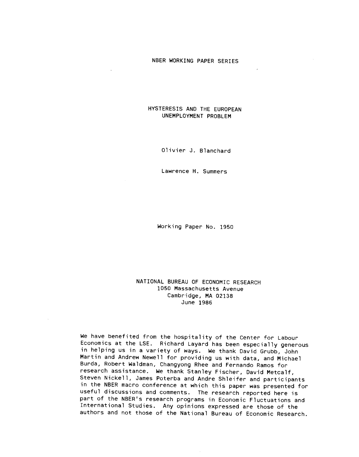# NBER WORKING PAPER SERIES

# HYSTERESIS AND THE EUROPEAN UNEMPLOYMENT PROBLEM

Olivier J. Blanchard

Lawrence H. Summers

Working Paper No. 1950

# NATIONAL BUREAU OF ECONOMIC RESEARCH 1050 Massachusetts Avenue Cambridge, MA 02138 June 1986

We have benefited from the hospitality of the Center for Labour Economics at the LSE. Richard Layard has been especially generous in helping us in a variety of ways. We thank David Grubb, John Martin and Andrew Newell for providing us with data, and Michael Burda, Robert Waldman, Changyong Rhee and Fernando Ramos for research assistance. We thank Stanley Fischer, David Metcalf, Steven Nickell, James Poterba and Andre Shleifer and participants in the NBER macro conference at which this paper was presented for useful discussions and comments. The research reported here is part of the NBER's research programs in Economic Fluctuations and International Studies. Any opinions expressed are those of the authors and not those of the National Bureau of Economic Research.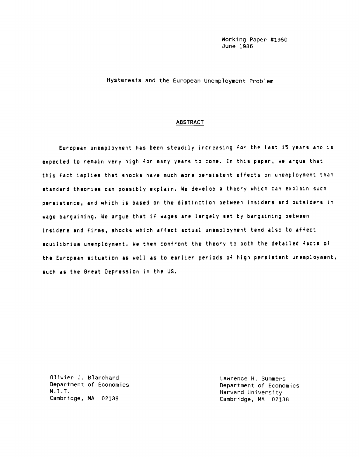Working Paper #1950 June 1986

Hysteresis and the European Unemployment Problem

 $\sim 10^{-1}$ 

#### ABSTRACT

European unemployment has been steadily increasing for the last 15 years and is expected to remain very high for many years to come. In this paper, we argue that this fact implies that shocks have much more persistent effects on unemployment than standard theories can possibly explain. We develop a theory which can explain such persistence, and which is based on the distinction between insiders and outsiders in wage bargaining. We argue that if wages are largely set by bargaining between insiders and firms, shocks which affect actual unemployment tend also to affect equilibrium unemployment. We then confront the theory to both the detailed facts of the European situation as well as to earlier periods of high persistent unemployment such as the Great Depression in the US.

Olivier J. Blanchard Department of Economics M.I.T. Cambridge, MA 02139

Lawrence H. Summers Department of Economics Harvard University Cambridge, MA 02138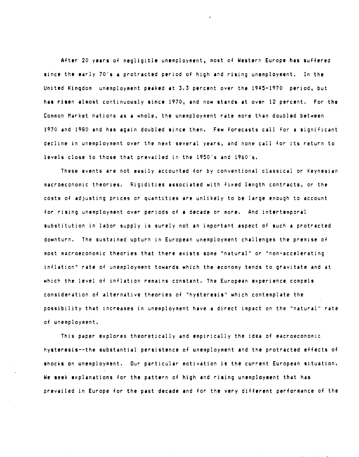After 20 years of negligible unemployment, most of Western Europe has suffered since the early 70's a protracted period of high and rising unemployment. In the United Kingdom unemployment peaked at 3.3 percent over the 1945-1970 period, but has risen almost continuously since 1970, and now stands at over 12 percent. For the Common Market nations as a whole, the unemployment rate more than doubled between 1970 and 19B0 and has again doubled since then. Few forecasts call for a significant decline in unemployment over the next several years, and none call for its return to levels close to those that prevailed in the 1950's and 1960's.

These events are not easily accounted for by conventional classical or Keynesian macroeconomic theories. Rigidities associated with fixed length contracts, or the costs of adjusting prices or quantities are unlikely to be large enough to account for rising unemployment over periods of a decade or more. And intertemporal substitution in labor supply is surely not an important aspect of such a protracted downturn. The sustained upturn in European unemployment challenges the premise of most macroeconomic theories that there exists some "natural" or "non—accelerating inflation" rate of unemployment towards which the economy tends to gravitate and at which the level of inflation remains constant. The European experience compels consideration of alternative theories of "hysteresis" which contemplate the possibility that increases in unemployment have a direct impact on the "natural" rate of unemployment.

This paper explores theoretically and empirically the idea of macroeconomic hysteresis——the substantial persistence of unemployment and the protracted effects of shocks on unemployment. Our particular motivation is the current European situation. We seek explanations for the pattern of high and rising unemployment that has prevailed in Europe for the past decade and for the very different performance of the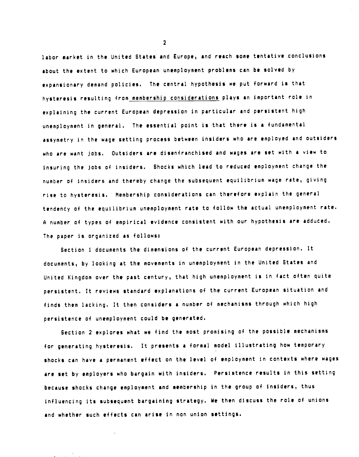labor market in the United States and Europe, and reach some tentative conclusions about the extent to which European unemployment problems can be solved by expansionary demand policies. The central hypothesis we put forward is that hysteresis resulting from membership considerations plays an important role in explaining the current European depression In particular and persistent high unemployment in general. The essential point is that there is a fundamental assymetry in the wage setting process between insiders who are employed and outsiders who are want jobs. Outsiders are disenfranchised and wages are set with a view to insuring the jobs of insiders. Shocks which lead to reduced employment change the number of insiders and thereby change the subsequent equilibrium wage rate, giving rise to hysteresis. Membership considerations can therefore explain the general tendency of the equilibrium unemployment rate to follow the actual unemployment rate. A number of types of empirical evidence consistent with cur hypothesis are adduced. The paper is organized as follows

Section 1 documents the dimensions of the current European depression. It documents, by looking at the movements in unemployment in the United States and United Kingdom over the past century, that high unemployment is In fact often quite persistent. It reviews standard explanations of the current European situation and finds them lacking. It then considers a number of mechanisms through which high persistence of unemployment could be generated.

Section 2 explores what we find the most promising of the possible mechanisms for generating hysteresis. It presents a formal model Illustrating how temporary shocks can have a permanent effect on the level of employment in contexts where wages are set by employers who bargain with insiders. Persistence results in this setting because shocks change employment and membership in the group of insiders, thus influencing its subsequent bargaining strategy. We then discuss the role of unions and whether such effects can arise In non union settings.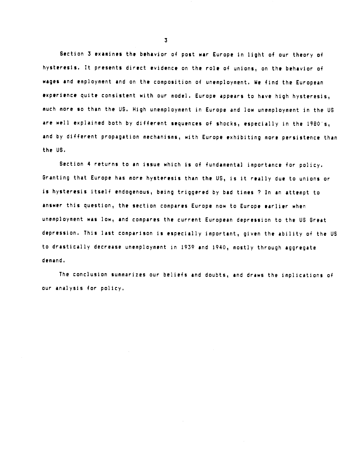Section 3 examines the behavior of post war Europe in light of our theory of hysteresis. It presents direct evidence on the role of unions, on the behavior o wages and employment and on the composition of unemployment. We find the European experience quite consistent with our model. Europe appears to have high hysteresis, much more so than the US. High unemployment in Europe and low unemployment in the US are well explained both by different sequences of shocks, especially in the 1980's, and by different propagation mechanisms, with Europe exhibiting more persistence than the US.

Section 4 returns to an issue which is of fundamental importance for policy. Granting that Europe has more hysteresis than the US, is it really due to unions or is hysteresis itself endogenous, being triggered by bad times ? In an attempt to answer this question, the section compares Europe now to Europe earlier when unemployment was low, and compares the current European depression to the US Great depression. This last comparison is especially important, given the ability of the US to drastically decrease unemployment in 1939 and 1940, mostly through aggregate demand.

The conclusion summarizes our beliefs and doubts, and draws the implications of our analysis for policy.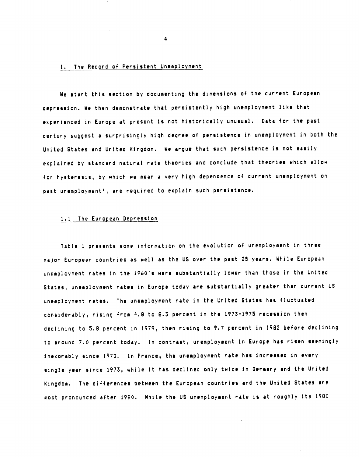1. The Record of Persistent Unemployment

We start this section by documenting the dimensions of the current European depression. We then demonstrate that persistently high unemployment like that experienced in Europe at present is not historically unusual. Data for the past century suggest a surprisingly high degree of persistence in unemployment in both the United States and United Kingdom. We argue that such persistence is not easily explained by standard natural rate theories and conclude that theories which allow for hysteresis, by which we mean a very high dependence of current unemployment on past unemployment<sup>1</sup>, are required to explain such persistence.

## 1.1 The European Depression

Table 1 presents some information on the evolution of unemployment in three major European countries as well as the US over the past 25 years. While European unemployment rates in the 1960's were substantially lower than those in the United States, unemployment rates in Europe today are substantially greater than current US unemployment rates. The unemployment rate in the United States has fluctuated considerably, rising from 4.8 to 8.3 percent in the 1973—1975 recession then declining to 5.8 percent in 1979, then rising to 9.7 percent in 1982 before declining to around 7.0 percent today. In contrast, unemployment in Europe has risen seemingly inexorably since 1973. In France, the unemployment rate has increased in every single year since 1973, while it has declined only twice in Germany and the United Kingdom. The differences between the European countries and the United States are most pronounced after 1980. While the US unemployment rate is at roughly its 1980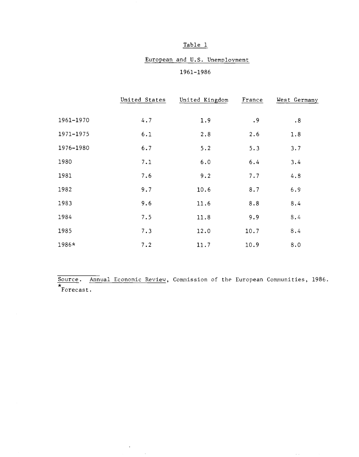# Table 1

# European and U.S. Unemployment

# 1961—1986

|           | United States | United Kingdom | France | West Germany |
|-----------|---------------|----------------|--------|--------------|
|           |               |                |        |              |
| 1961-1970 | 4.7           | 1.9            | .9     | .8           |
| 1971-1975 | 6.1           | 2.8            | 2.6    | 1.8          |
| 1976-1980 | 6.7           | 5.2            | 5.3    | 3.7          |
| 1980      | 7.1           | 6.0            | 6.4    | 3.4          |
| 1981      | 7.6           | 9.2            | 7.7    | 4.8          |
| 1982      | 9.7           | 10.6           | 8.7    | 6.9          |
| 1983      | 9.6           | 11.6           | 8.8    | 8.4          |
| 1984      | 7.5           | 11.8           | 9.9    | 8.4          |
| 1985      | 7.3           | 12.0           | 10.7   | 8.4          |
| 1986*     | 7.2           | 11.7           | 10.9   | 8.0          |

Source. Annual Economic Review, Commission of the European Communities, 1986.  $\overline{\star_{\text{Forecast.}}}$ 

 $\epsilon$  .

 $\mathbb{Z}^2$ 

 $\mathcal{L}_{\mathcal{A}}$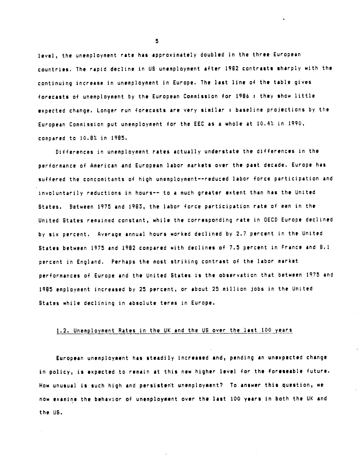level, the unemployment rate has approximately doubled in the three European countries. The rapid decline in US unemployment after 19B2 contrasts sharply with the continuing increase in unemployment in Europe. The last line of the table gives forecasts of unemployment by the European Commission for 1986 : they show little expected change. Longer run forecasts are very similar t baseline projections by the European Commission put unemployment for the EEC as a whole at 10.4% in 1990, compared to 10.B% in 1985.

Differences in unemployment rates actually understate the differences in the performance of American and European labor markets over the past decade. Europe has suffered the concomitants of high unemployment——reduced labor force participation and involuntarily reductions in hours-- to a much greater extent than has the United States. Between 1975 and 1983, the labor force participation rate of men in the United States remained constant, while the corresponding rate in OECD Europe declined by six percent. Average annual hours worked declined by 2.7 percent in the United States between 1975 and 1982 compared with declines of 7.5 percent in France and 8.1 percent in England. Perhaps the most striking contrast of the labor market performances of Europe and the United States is the observation that between 1975 and 1985 employment increased by 25 percent, or about 25 million jobs in the United States while declining in absolute terms in Europe.

## 1.2. Unemployment Rates in the UK and the US over the last 100 years

European unemployment has steadily Increased and, pending an unexpected change in policy, is expected to remain at this new higher level for the foreseable future. How unusual is such high and persistent unemployment? To answer this question, we now examine the behavior of unemployment over the last 100 years in both the UK and the US.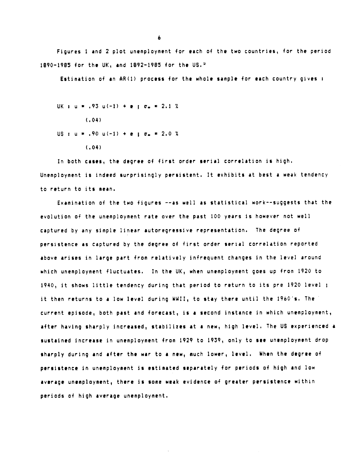Figures 1 and 2 plot unemployment for each of the two countries, for the perod 1890-1985 for the UK, and 1892-1985 for the US.<sup>2</sup>

Estimation of an AR(1) process for the whole sample for each country gives i

```
UK x = 0.93 u(-1) + e x = 2.1 %
         (.04)
US: u = .90 u(-1) + e; \sigma_{\infty} = 2.0 X(.04)
```
In both cases, the degree of first order serial correlation is high. Unemployment is indeed surprisingly persistent. It exhibits at best a weak tendency to return to its mean.

Examination of the two figures ——as well as statistical work——suggests that the evolution of the unemployment rate over the past 100 years is however not well captured by any simple linear autoregressive representation. The degree of persistence as captured by the degree of first order serial correlation reported above arises in large part from relatively infrequent changes in the level around which unemployment fluctuates. In the UK, when unemployment goes up from 1920 to 1940, it shows little tendency during that period to return to its pre 1920 level it then returns to a low level during WWII, to stay there until the 1960's. The current episode, both past and forecast, isa second instance in which unemployment, after having sharply increased, stabilizes at a new, high level. The US experienced a sustained increase in unemployment from 1929 to 1939, only to see unemployment drop sharply during and after the war to a new, much lower, level. When the degree of persistence In unemployment is estimated separately for periods of high and low average unemployment, there is some weak evidence of greater persistence within periods of high average unemployment.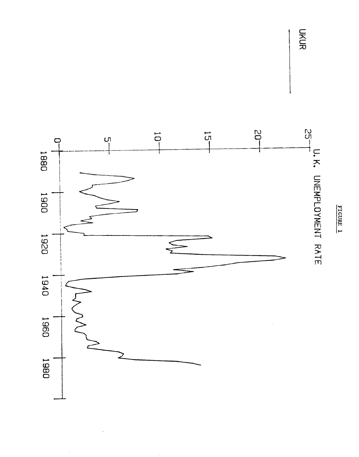

UKUR

FIGURE 1.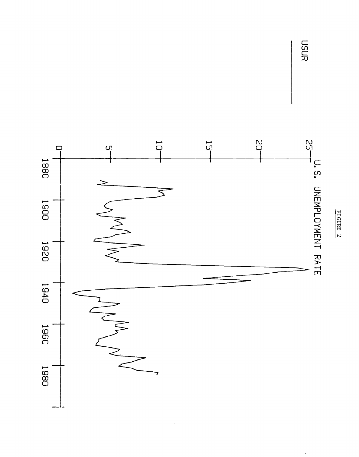**FIGURE 2** FICURE 2



USUR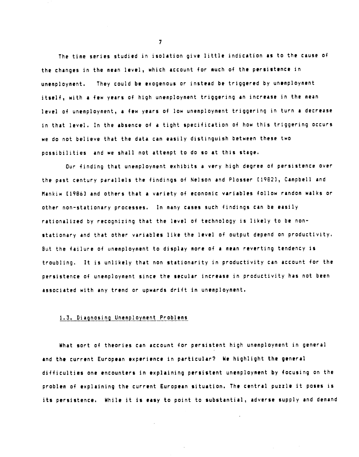The time series studied in isolation give little indication as to the cause of the changes in the mean level, which account for much of the persistence in unemployment. They could be exogenous or instead be triggered by unemployment itself, with a few years of high unemployment triggering an increase in the mean level of unemployment, a few years of low unemployment triggering in turn a decrease in that level. In the absence of a tight specification of how this triggering occurs we do not believe that the data can easily distinguish between these two possibilities and we shall not attempt to do so at this stage.

Our finding that unemployment exhibits a very high degree of persistence over the past century parallels the findings of Nelson and Plosser (1982), Campbell and Mankiw [1986) and others that a variety of economic variables follow random walks or other non—stationary processes. In many cases such findings can be easily rationalized by recognizing that the level of technology is likely to be non stationary and that other variables like the level of output depend on productivity. But the failure of unemployment to display more of a mean reverting tendency is troubling. It is unlikely that non stationarity in productivity can account for the persistence of unemployment since the secular increase in productivity has not been associated with any trend or upwards drift In unemployment.

## 1.3. Diagnosing Unemployment Problems

What sort of theories can account for persistent high unemployment in general and the current European experience in particular? We highlight the general difficulties one encounters in explaining persistent unemployment by focusing on the problem of explaining the current European situation. The central puzzle it poses is its persistence. While it is easy to point to substantial, adverse supply and demand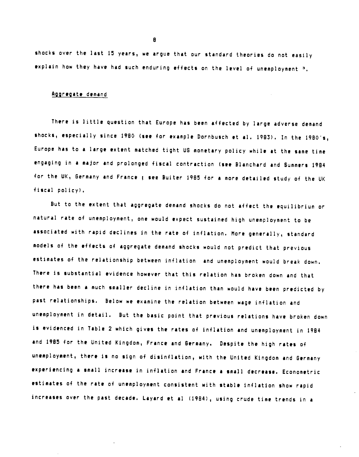shocks over the last 15 years, we argue that our standard theories do not easily explain how they have had such enduring effects on the level of unemployment <sup>3</sup>.

#### Aggregate demand

There is little question that Europe has been affected by large adverse demand shocks, especially since 1980 (see for example Dornbusch et al. 1983). In the 1980's, Europe has to a large extent matched tight US monetary policy while at the same time engaging in a major and prolonged fiscal contraction (see Blanchard and Summers 1984 for the UK, Germany and France ; see Buiter 19B5 far a more detailed study of the UK fiscal policy).

But to the extent that aggregate demand shocks do not affect the equilibrium or natural rate of unemployment, one would expect sustained high unemployment to be associated with rapid declines in the rate of inflation. More generally, standard models of the effects of aggregate demand shocks would not predict that previous estimates of the relationship between inflation and unemployment would break down. There is substantial evidence however that this relation has broken down and that there has been a much smaller decline in inflation than would have been predicted by past relationships. Below we examine the relation between wage inflation and unemployment in detail. But the basic point that previous relations have broken down is evidenced in Table 2 which gives the rates of inflation and unemployment in 19B4 and 1985 for the United Kingdom, France and Germany. Despite the high rates of unemployment, there Is no sign of disinflation, with the United Kingdom and Germany experiencing a small increase in inflation and France a small decrease. Econometric estimates of the rate of unemployment consistent with stable Inflation show rapid increases over the past decade. Layard et al (1984), using crude time trends in a

B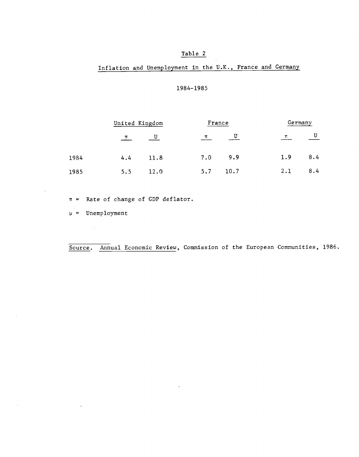# Table 2

# Inflation and Unemployment in the U.K., France and Germany

# 1984—1985

|      | United Kingdom |      |       | France |       | Germany |  |
|------|----------------|------|-------|--------|-------|---------|--|
|      | $\pi$          | U    | $\pi$ | U      | $\pi$ | U       |  |
| 1984 | 4.4            | 11.8 | 7.0   | 9.9    | 1.9   | 8.4     |  |
| 1985 | 5.5            | 12.0 | 5.7   | 10.7   | 2.1   | 8.4     |  |

 $\pi$  = Rate of change of GDP deflator.

 $\mu$  = Unemployment

 $\sim 10^7$ 

 $\mathcal{L}$ 

 $\sim$  $\mathcal{L}_{\mathcal{A}}$  Source. Annual Economic Review, Commission of the European Communities, 1986.

 $\overline{\phantom{a}}$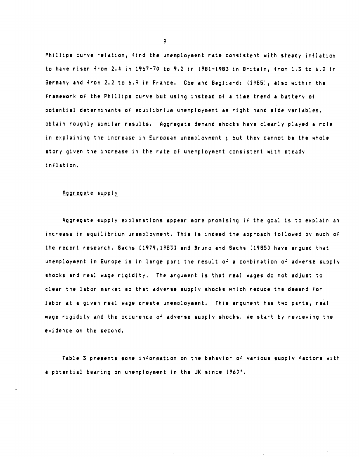Phillips curve relation, find the unemployment rate consistent with steady inflation to have risen from 2.4 in 1967—70 to 9.2 in 19B1-19B3 in Britain, from 1.3 to 6.2 in Germany and from 2.2 to 6.9 in France. Coe and Gagliardi (1985), also within the framework of the Phillips curve but using instead of a time trend a battery of potential determinants of equilibrium unemployment as right hand side variables, obtain roughly similar results. aggregate demand shocks have clearly played a role in explaining the increase in European unemployment ; but they cannot be the whole story given the increase in the rate of unemployment consistent with steady inflation.

#### Aggregate supply

Aggregate supply explanations appear more promising if the goal is to explain an increase in equilibrium unemployment. This is indeed the approach followed by much of the recent research. Sachs [1979,1983] and Bruno and Sachs [1985] have argued that unemployment in Europe is in large part the result of a combination of adverse supply shocks and real wage rigidity. The argument is that real wages do not adjust to clear the labor market so that adverse supply shocks which reduce the demand for labor at a given real wage create unemployment. This argument has two parts, real wage rigidity and the occurence of adverse supply shocks. We start by reviewing the evidence on the second.

Table 3 presents some information on the behavior of various supply factors with a potential bearing on unemployment in the UK since 1960<sup>4</sup>.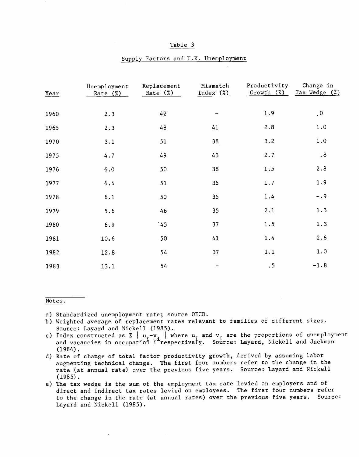|--|--|--|

| Year | Unemployment<br>Rate (%) | Replacement<br>Rate $(\%)$ | Mismatch<br>Index $(\%)$ | Productivity<br>Growth $(\%)$ | Change in<br>Tax Wedge $(\%)$ |
|------|--------------------------|----------------------------|--------------------------|-------------------------------|-------------------------------|
| 1960 | 2.3                      | 42                         |                          | 1.9                           | $\cdot$ 0                     |
| 1965 | 2.3                      | 48                         | 41                       | 2.8                           | 1.0                           |
| 1970 | 3.1                      | 51                         | 38                       | 3.2                           | 1.0                           |
| 1975 | 4.7                      | 49                         | 43                       | 2.7                           | $\boldsymbol{\cdot}$ 8        |
| 1976 | 6.0                      | 50                         | 38                       | 1.5                           | 2.8                           |
| 1977 | 6.4                      | 51                         | 35                       | 1.7                           | 1.9                           |
| 1978 | 6.1                      | 50                         | 35                       | 1.4                           | $-.9$                         |
| 1979 | 5.6                      | 46                         | 35                       | 2.1                           | 1.3                           |
| 1980 | 6.9                      | 45                         | 37                       | 1.5                           | 1.3                           |
| 1981 | 10.6                     | 50                         | 41                       | 1.4                           | 2.6                           |
| 1982 | 12.8                     | 54                         | 37                       | $1.1\,$                       | 1.0                           |
| 1983 | 13.1                     | 54                         |                          | .5                            | $-1.8$                        |

# Supply Factors and U.K. Unemployment

#### Notes.

a) Standardized unemployment rate; source OECD.

 $\ddot{\phantom{a}}$ 

- b) Weighted average of replacement rates relevant to families of different sizes. Source: Layard and Nickell (1985).
- c) Index constructed as  $\Sigma$  | u<sub>.</sub>-v. | where u. and v. are the proportions of unemployment and vacancies in occupation i<sup>+</sup>respectiveIy. Soūrce: Layard, Nickell and Jackman (1984).
- d) Rate of change of total factor productivity growth, derived by assuming labor augmenting technical change. The first four numbers refer to the change in the rate (at annual rate) over the previous five years. Source: Layard and Nickell (1985).
- e) The tax wedge is the sum of the employment tax rate levied on employers and of direct and indirect tax rates levied on employees. The first four numbers refer to the change in the rate (at annual rates) over the previous five years. Source: Layard and Nickell (1985).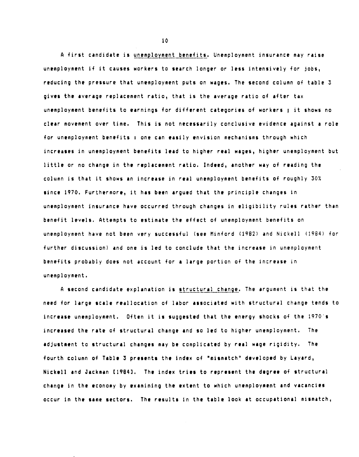A first candidate is unemployment benefits. Unemployment insurance may raise unemployment if it causes workers to search longer or less intensively for jobs, reducing the pressure that unemployment puts on wages. The second column of table 3 gives the average replacement ratio, that is the average ratio of after tax unemployment benefits to earnings for different categories of workers ; it shows no clear movement over time. This is not necessarily conclusive evidence against a role for unemployment benefits : one can easily envision mechanisms through which increases in unemployment benefits lead to higher real wages, higher unemployment but little or no change in the replacement ratio. Indeed, another way of reading the column is that it shows an increase in real unemployment benefits of roughly 30Y. since 1970. Furthermore, it has been argued that the principle changes in unemployment insurance have occurred through changes in eligibility rules rather than benefit levels. Attempts to estimate the effect of unemployment benefits on unemployment have not been very successful (see Minford (19B2) and Nickell (1984) for further discussion) and one is led to conclude that the increase in unemployment benefits probably does not account for a large portion of the increase in unemployment.

A second candidate explanation is structural change. The argument is that the need for large scale reallocation of labor associated with structural change tends to Increase unemployment. Often it is suggested that the energy shocks of the 1970's increased the rate of structural change and soled to higher unemployment. The adjustment to structural changes may be complicated by real wage rigidity. The fourth column of Table 3 presents the Index of mismatch" developed by Layard, Nickell and Jackman [1984]. The index tries to represent the degree of structural change in the economy by examining the extent to which unemployment and vacancies occur in the same sectors. The results In the table look at occupational mismatch,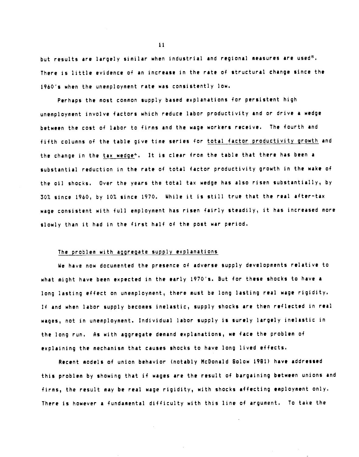but results are largely similar when industrial and regional measures are used<sup>5</sup>. There is little evidence of an increase in the rate of structural change since the 1960's when the unemployment rate was consistently low.

Perhaps the most common supply based explanations for persistent high unemployment involve factors which reduce labor productivity and or drive a wedge between the cost of labor to firms and the wage workers receive. The fourth and fifth columns of the table give time series for total factor productivity growth and the change in the tax wedge<sup>6</sup>. It is clear from the table that there has been a substantial reduction in the rate of total factor productivity growth in the wake of the oil shocks. Over the years the total tax wedge has also risen substantially, by 30% since 1960, by 10% since 1970. While it is still true that the real after—tax wage consistent with full employment has risen fairly steadily, it has increased more slowly than it had in the first half of the post war period.

#### The problem with aggregate supply explanations

We have now documented the presence of adverse supply developments relative to what might have been expected in the early 1970's. But for these shocks to have a long lasting effect on unemployment, there must be long lasting real wage rigidity. If and when labor supply becomes inelastic, supply shocks are then reflected in real wages, not in unemployment. Individual labor supply is surely largely inelastic in the long run. As with aggregate demand explanations, we face the problem of explaining the mechanism that causes shocks to have long lived effects.

Recent models of union behavior (notably McDonald Solow 1981) have addressed this problem by showing that if wages are the result of bargaining between unions and firms, the result may be real wage rigidity, with shocks affecting employment only. There is however a fundamental difficulty with this line of argument. To take the

Ii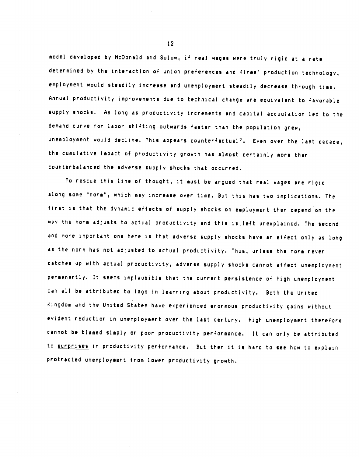model developed by McDonald and Solow, if real wages were truly rigid at a rate determined by the interaction of union preferences and firms' production technology, employment would steadily increase and unemployment steadily decrease through time. Annual productivity improvements due to technical change are equivalent to favorable supply shocks. As long as productivity increments and capital accuulation led to the demand curve for labor shifting outwards faster than the population grew, unemployment would decline. This appears counterfactual'. Even over the last decade, the cumulative impact of productivity growth has almost certainly more than counterbalanced the adverse supply shocks that occurred.

To rescue this line of thought, it must be argued that real wages are rigid along some "norm", which may increase over time. But this has two implications. The first is that the dynamic effects of supply shocks on employment then depend on the way the norm adjusts to actual productivity and this is left unexplained. The second and more important one here is that adverse supply shocks have an effect only as long as the norm has not adjusted to actual productivity. Thus, unless the norm never catches up with actual productivity, adverse supply shocks cannot affect unemployment permanently. It seems implausible that the current persistence of high unemployment can all be attributed to lags in learning about productivity. Both the United Kingdom and the United States have experienced enormous productivity gains without evident reduction in unemployment over the last century. High unemployment therefore cannot be blamed simply on poor productivity performance. It can only be attributed to surprises in productivity performance. But then it is hard to see how to explain protracted unemployment from lower productivity growth.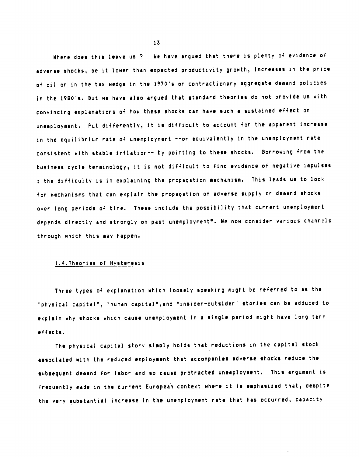Where does this leave us ? We have argued that there is plenty of evidence of adverse shocks, be it lower than expected productivity growth, Increases in the price of oil or in the tax wedge in the 1970's or contractionary aggregate demand policies in the 1980's. But we have also argued that standard theories do not provide us with convincing explanations of how these shocks can have such a sustained effect on unemployment. Put differently, it is difficult to account for the apparent increase in the equilibrium rate of unemployment --or equivalently in the unemployment rate consistent with stable inflation—— by pointing to these shocks. Borrowing from the business cycle terminology, it is not difficult to find evidence of negative impulses the difficulty Is in explaining the propagation mechanism. This leads us to look for mechanisms that can explain the propagation of adverse supply or demand shocks over long periods of time. These include the possibility that current unemployment depends directly and strongly on past unemployment<sup>e</sup>. We now consider various channels through which this may happen.

#### 1.4.Theories of Hysteresis

Three types of explanation which loosely speaking might be referred to as the "physical capital", "human capital",and "insider—outsider' stories can be adduced to explain why shocks which cause unemployment In a single period might have long term effects.

The physical capital story simply holds that reductions in the capital stock associated with the reduced employment that accompanies adverse shocks reduce the subsequent demand for labor and so cause protracted unemployment. This argument is frequently made in the current European context where it is emphasized that, despite the very substantial increase in the unemployment rate that has occurred, capacity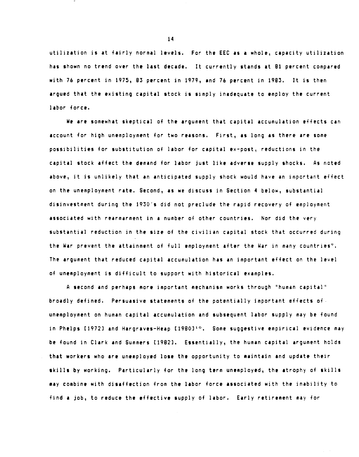utilization is at fairly normal levels. For the EEC as a whole, capacity utilization has shown no trend over the last decade. It currently stands at 81 percent compared with 76 percent in 1975, 83 percent in 1979, and 76 percent in 1983. It is then argued that the existing capital stock is simply inadequate to employ the current labor force.

We are somewhat skeptical of the argument that capital accumulation effects can account for high unemployment for two reasons. First, as long as there are some possibilities for substitution of labor for capital ex—post, reductions in the capital stock affect the demand for labor just like adverse supply shocks. As noted above, it is unlikely that an anticipated supply shock would have an important effect on the unemployment rate. Second, as we discuss in Section 4 below, substantial disinvestment during the 1930's did not preclude the rapid recovery of employment associated with rearmarment in a number of other countries. Nor did the very substantial reduction in the size of the civilian capital stock that occurred during the War prevent the attainment of full employment after the War in many countries<sup>9</sup>. The argument that reduced capital accumulation has an important effect on the level of unemployment is difficult to support with historical examples.

A second and perhaps more important mechanism works through "human capital" broadly defined. Persuasive statements of the potentially important effects of unemployment on human capital accumulation and subsequent labor supply may be found in Phelps [1972] and Hargraves-Heap [1980]<sup>10</sup>. Some suggestive empirical evidence may be found in Clark and Summers (19821. Essentially, the human capital argument holds that workers who are unemployed lose the opportunity to maintain and update their skills by working. Particularly for the long term unemployed, the atrophy of skills may combine with disaffection from the labor force associated with the inability to find a job, to reduce the effective supply of labor. Early retirement may for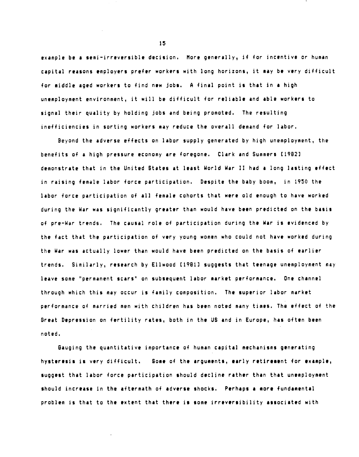example be a semi—irreversible decision. More generally, if for incentive or human capital reasons employers prefer workers with long horizons, it may be very difficult for middle aged workers to find new jobs. A final point is that in a high unemployment environment, it will be difficult for reliable and able workers to signal their quality by holding jobs and being promoted. The resulting inefficiencies in sorting workers may reduce the overall demand for labor.

Beyond the adverse effects on labor supply generated by high unemployment, the benefits of a high pressure economy are foregone. Clark and Summers (1982] demonstrate that in the United States at least World War II had a long lasting effect in raising female labor force participation. Despite the baby boom, in 1950 the labor force participation of all female cohorts that were old enough to have worked during the War was significantly greater than would have been predicted on the basis of pre—War trends. The causal role of participation during the War is evidenced by the fact that the participation of very young women who could not have worked during the War was actually lower than would have been predicted on the basis of earlier trends. Similarly, research by Ellwood (1981] suggests that teenage unemployment may leave some "permanent scars" on subsequent labor market performance. One channel through which this may occur is family composition. The superior labor market performance of married men with children has been noted many times. The effect of the Great Depression on fertility rates, both in the US and in Europe, has often been noted.

Gauging the quantitative importance of human capital mechanisms generating hysteresis is very difficult. Some of the arguments, early retirement for example, suggest that labor force participation should decline rather than that unemployment should increase In the aftermath of adverse shocks. Perhaps a more fundamental problem is that to the extent that there is some irreversibility associated with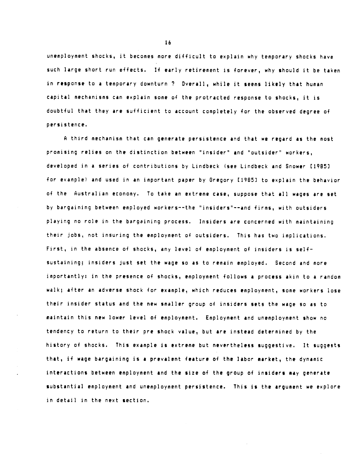unemployment shocks, it becomes more difficult to explain why temporary shocks have such large short run effects. If early retirement is forever, why should it be taken in response to a temporary downturn ? Overall, while it seems likely that human capital mechanisms can explain some of the protracted response to shocks, it is doubtful that they are sufficient to account completely for the observed degree of persi stence.

A third mechanism that can generate persistence and that we regard as the most promising relies on the distinction between "insider' and "outsider" workers, developed in a series of contributions by Lindbeck (see Lindbeck and Snower (19BJ for example) and used in an important paper by Gregory (1B5] to explain the behavior of the Australian economy. To take an extreme case, suppose that all wages are set by bargaining between employed workers——the 'insiders"——and firms, with outsiders playing no role in the bargaining process. Insiders are concerned with maintaining their jobs, not insuring the employment of outsiders. This has two implications. First, in the absence of shocks, any level of employment of insiders is self sustaining; insiders just set the wage so as to remain employed. Second and more importantly: in the presence of shocks, employment follows a process akin to a random walk; after an adverse shock for example, which reduces employment, some workers lose their insider status and the new smaller group of insiders sets the wage so as to maintain this new lower level of employment. Employment and unemployment show no tendency to return to their pre shock value, but are instead determined by the history of shocks. This example is extreme but nevertheless suggestive. It suggests that, if wage bargaining is a prevalent feature of the labor market, the dynamic interactions between employment and the size of the group of insiders may generate substantial employment and unemployment persistence. This is the argument we explore in detail in the next section.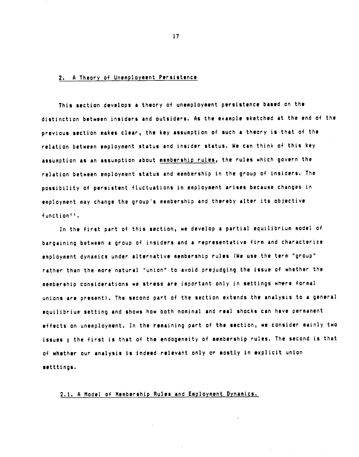#### 2. A Theory of Unemployment Persistence

This section develops a theory of unemployment persistence based on the distinction between insiders and outsiders. As the example sketched at the end of the previous section makes clear, the key assumption of such a theory is that of the relation between employment status and insider status. We can think of this key assumption as an assumption about membership rules, the rules which govern the relation between employment status and membership in the group of insiders. The possibility of persistent fluctuations in employment arises because changes in employment may change the group's membership and thereby alter its objective function<sup>11</sup>.

In the first part of this section, we develop a partial equilibrium model of bargaining between a group of insiders and a representative firm and characterize employment dynamics under alternative membership rules (We use the term "group" rather than the more natural "union" to avoid prejudging the issue of whether the membership considerations we stress are important only in settings where formal unions are present). The second part of the section extends the analysis to a general equilibrium setting and shows how both nominal and real shocks can have permanent effects on unemployment. In the remaining part of the section, we consider mainly two issues ; the first is that of the endogeneity of membership rules. The second is that of whether our analysis is Indeed relevant only or mostly in explicit union setttings.

# 2.1. A Model of Membership Rules and Employment Dynamics.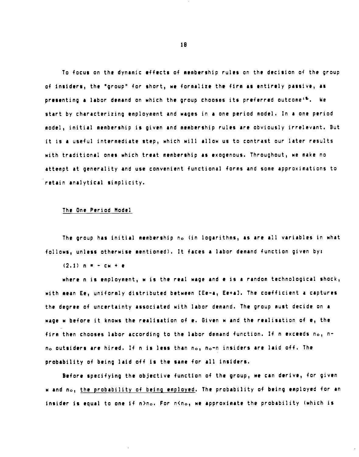To focus on the dynamic effects of membership rules on the decision of the group of insiders, the "group" for short, we formalize the firm as entirely passive, as presenting a labor demand on which the group chooses its preferred outcome. We start by characterizing employment and wages in a one period model. In a one period model, initial membership Is given and membership rules are obviously irrelevant. But it is a useful intermediate step, which will allow us to contrast our later results with traditional ones which treat membership as exogenous. Throughout, we make no attempt at generality and use convenient functional forms and some approximations to retain analytical simplicity.

#### The One Period Model

The group has Initial membership no (in logarithms, as are all variables in what follows, unless otherwise mentioned). It faces a labor demand function given by

 $(2.1)$  n = - cw + e

where n is employment, w is the real wage and e is a random technological shock, with mean Ee, uniformly distributed between tEe—a, Ee+a). The coefficient a captures the degree of uncertainty associated with labor demand. The group must decide on a wage w before it knows the realisation of e. Given w and the realisation of e, the firm then chooses labor according to the labor demand function. If n exceeds no, nno outsiders are hired. If n is less than no, no-n insiders are laid off. The probability of being laid off is the same for all insiders.

Before specifying the objective function of the group, we can derive, for given w and no, the probability of being employed. The probability of being employed for an insider is equal to one if n>no. For n<no, we approximate the probability (which is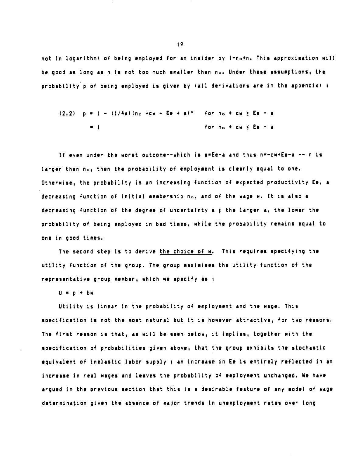not in logarithm) of being employed for an insider by 1-no+n. This approximation will be good as long as n is not too much smaller than no. Under these assumptions, the probability p of being employed is given by (all derivations are in the appendix)

(2.2) 
$$
p = 1 - (1/4a) (n_0 + c_0 - \text{E}e + a)^2
$$
 for  $n_0 + c_0 \ge \text{E}e - a$   
= 1 for  $n_0 + c_0 \le \text{E}e - a$ 

If even under the worst outcome--which is e=Ee-a and thus n=-cw+Ee-a -- n is larger than no, then the probability of employment is clearly equal to one. Otherwise, the probability is an increasing function of expected productivity Ee, a decreasing function of initial membership  $n_{\phi_1}$  and of the wage w. It is also a decreasing function of the degree of uncertainty a ; the larger a, the lower the probability of being employed in bad times, while the probability remains equal to one in good times.

The second step is to derive the choice of w. This requires specifying the utility function of the group. The group maximises the utility function of the representative group member, which we specify as t

 $U = p + bw$ 

Utility is linear in the probability of employment and the wage. This specification is not the mast natural but it is however attractive, for two reasons. The first reason is that, as will be seen below, it implies, together with the specification of probabilities given above, that the group exhibits the stochastic equivalent of inelastic labor supply u an increase in Ee is entirely reflected in an Increase in real wages and leaves the probability of employment unchanged. We have argued in the previous section that this is a desirable feature of any model of wage determination given the absence of major trends in unemployment rates over long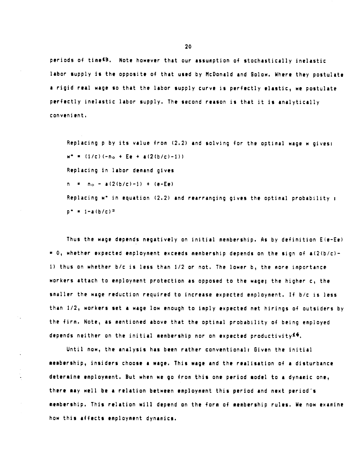periods of time<sup>43</sup>. Note however that our assumption of stochastically inelastic labor supply is the opposite of that used by McDonald and Solow. Where they postulate <sup>a</sup> rigid real wage so that the labor supply curve is perfectly elastic, we postulate perfectly inelastic labor supply. The second reason is that it is analytically convenient.

Replacing p by its value from (2.2) and solving for the optimal wage w gives:  $w^* = (1/c)(-n_0 + Ee + a(2(b/c)-1))$ Replacing In labor demand gives  $n = n_0 - a(2(b/c)-1) + (e-Ee)$ Replacing  $w^*$  in equation  $(2.2)$  and rearranging gives the optimal probability  $\imath$ 

 $p^* = 1 - a(b/c)^2$ 

Thus the wage depends negatively on initial membership. As by definition E(e—Ee) • 0, whether expected employment exceeds membership depends on the sign of a(2(b/c)— 1) thus on whether b/c is less than 1/2 or not. The lower b, the more importance workers attach to employment protection as opposed to the wage; the higher c, the smaller the wage reduction required to increase expected employment. If b/c is less than 1/2, workers set a wage low enough to imply expected net hirings of outsiders by the firm. Note, as mentioned above that the optimal probability of being employed depends neither on the initial membership nor on expected productivity  $4\frac{4}{1}$ .

Until now, the analysis has been rather conventional: Given the Initial membership, Insiders choose a wage. This wage and the realisation of a disturbance determine employment. But when we go from this one period model to a dynamic one, there may well be a relation between employment this period and next period's membership. This relation will depend on the form of membership rules. We now examine how this affects employment dynamics.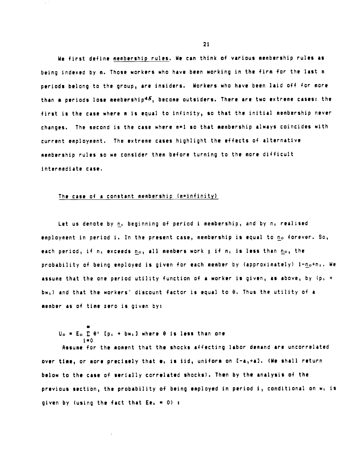We first define membership rules. We can think of various membership rules as being indexed by m. Those workers who have been working in the firm for the last m periods belong to the group, are insiders. Workers who have been laid off for more than a periods lose membership45, become outsiders. There are two extreme cases: the first is the case where a is equal to infinity, so that the initial membership never changes. The second is the case where  $m=1$  so that membership always coincides with current employment. The extreme cases highlight the effects of alternative membership rules so we consider them before turning to the more difficult intermedi ate case.

#### The case of a constant membership  $(m=1n+1)$

Let us denote by n, beginning of period i membership, and by n, realised employment in period i. In the present case, membership is equal to n0 forever. So, each period, if  $n_1$  exceeds  $n_0$ , all members work ; if  $n_1$  is less than  $n_0$ , the probability of being employed is given for each member by (approximately)  $1-\eta_{\rm O}+\eta_{\rm L}$ . We assume that the one period utility function of a worker is given, as above, by  $(p_1 + p_2)$  $bw_1$ ) and that the workers' discount factor is equal to  $\theta$ . Thus the utility of a member as of time zero is given by:

 $U_0 = E_0 \sum \theta^2$  (p, + bw, ) where  $\theta$  is less than one  $i = 0$ 

Assume for the moment that the shocks affecting labor demand are uncorrelated over time, or more precisely that ex is iid, uniform on  $I-a$ ,+al. (We shall return below to the case of serially correlated shocks). Then by the analysis of the previous section, the probability of being employed in period I, conditional on wi is given by (using the fact that Ee<sub>1</sub> = 0) i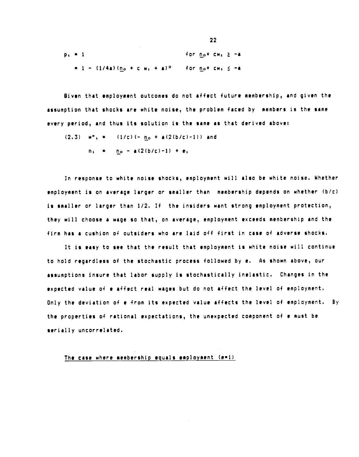$p_4 = 1$  for  $n_0 + c w_4 \ge -a$  $= 1 - (1/4a)(n_0 + c)w_4 + a^2$  for not cwa  $\le -a$ 

Given that employment outcomes do not affect future membership, and given the assumption that shocks are white noise, the problem faced by members is the same every period, and thus its solution is the same as that derived above:

$$
(2.3) \quad w^*{}_{\pm} = (1/c) (- \underline{n}_0 + a(2(b/c) - 1)) \text{ and}
$$

 $n_i = n_0 - a(2(b/c)-1) + e_i$ 

In response to white noise shocks, employment will also be white noise. Whether employment is on average larger or smaller than membership depends on whether (b/c) is smaller or larger than 1/2. If the insiders want strong employment protection, they will choose a wage so that, on average, employment exceeds membership and the firm has a cushion of outsiders who are laid off first in case of adverse shocks.

It is easy to see that the result that employment is white noise will continue to hold regardless of the stochastic process followed by e. As shown above, our assumptions insure that labor supply is stochastically inelastic. Changes in the expected value of e affect real wages but do not affect the level of employment. Dnly the deviation of e from its expected value affects the level of employment. By the properties of rational expectations, the unexpected component of e must be serially uncorrelated.

#### The case where membership equals employment  $(m=1)$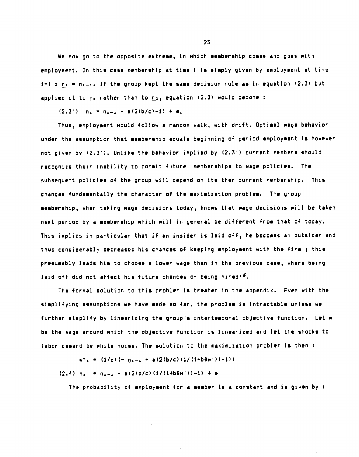We now go to the opposite extreme, in which membership comes and goes with employment. In this case membership at time i is simply given by employment at time  $i-1$  :  $n_4$  =  $n_4-$ . If the group kept the same decision rule as in equation (2.3) but applied it to  $n_i$  rather than to  $n_o$ , equation (2.3) would become :

 $(2.3')$   $n_1 = n_{1-1} - a(2(b/c)-1) + e_1$ 

Thus, employment would follow a random walk, with drift. Optimal wage behavior under the assumption that membership equals beginning of period employment is however not given by (2.3'). Unlike the behavior implied by (2.3') current members should recognize their inability to commit future memberships to wage policies. The subsequent policies of the group will depend on its then current membership. This changes fundamentally the character of the maximization problem. The group membership, when taking wage decisions today, knows that wage decisions will be taken next period by a membership which will in general be different from that of today. This implies in particular that if an insider is laid off, he becomes an outsider and thus considerably decreases his chances of keeping employment with the firm ; this presumably leads him to choose a lower wage than in the previous case, where being laid off did not affect his future chances of being hired<sup>15</sup>.

The formal solution to this problem is treated in the appendix. Even with the simplifying assumptions we have made so far, the problem is intractable unless we further simplify by linearizing the group's intertemporal objective function. Let w' be the wage around which the objective function is linearized and let the shocks to labor demand be white noise. The solution to the maximization problem is then :

 $w^*$ <sub>1</sub> = (1/c)(-  $n_{i-1}$  + a(2(b/c)(1/(1+b0w'))-1))

 $(2, 4)$   $n_1$  =  $n_{1-1}$  - a(2(b/c)(1/(1+b $\theta w'$ ))-1) + e

The probability of employment for a member is a constant and is given by  $i$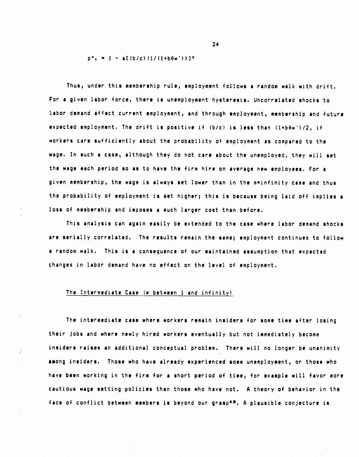#### $p^*$ ; = 1 - a[(b/c)(1/(1+b $\theta w'$ ))]<sup>2</sup>

Thus, under this membership rule, employment follows a random walk with drift. For a given labor force, there is unemployment hysteresis. Uncorrelated shocks to labor demand affect current employment, and through employment, membership and future expected employment. The drift is positive if (b/c) is less than  $(1+b\theta w')/2$ , if workers care sufficiently about the probability of employment as compared to the wage. In such a case, although they do not care about the unemployed, they will set the wage each period so as to have the firm hire on average new employees. For a given membership, the wage is always set lower than in the m=infinity case and thus the probability of employment is set higher; this is because being laid off implies a loss of membership and imposes a much larger cost than before.

This analysis can again easily be extended to the case where labor demand shocks are serially correlated. The results remain the same; employment continues to follow a random walk. This is a consequence of our maintained assumption that expected changes in labor demand have no effect on the level of employment.

## The Intermediate Case (m between 1 and infinity)

The intermediate case where workers remain insiders for some time after losing their jobs and where newly hired workers eventually but not immediately become insiders raises an additional conceptual problem. There will no longer be unanimity among insiders. Those who have already experienced some unemployment, or those who have been working in the firm for a short period of time, for example will favor more cautious wage setting policies than those who have not. A theory of behavior in the face of conflict between members is beyond our grasp<sup>43</sup>. A plausible conjecture is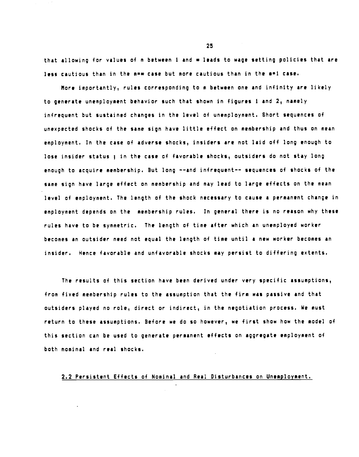that allowing for values of m between 1 and  $\infty$  leads to wage setting policies that are less cautious than in the m=w case but more cautious than in the m=1 case.

More importantly, rules corresponding to m between one and infinity are likely to generate unemployment behavior such that shown in figures 1 and 2, namely infrequent but sustained changes in the level of unemployment. Short sequences of unexpected shocks of the same sign have little effect on membership and thus on mean employment. In the case of adverse shocks, insiders are not laid off long enough to lose insider status ; in the case of favorable shocks, outsiders do not stay long enough to acquire membership. But long ——and infrequent—— sequences of shocks of the same sign have large effect on membership and may lead to large effects on the mean level of employment. The length of the shock necessary to cause a permanent change in employment depends on the membership rules. In general there is no reason why these rules have to be symmetric. The length of time after which an unemployed worker becomes an outsider need not equal the length of time until a new worker becomes an insider. Hence favorable and unfavorable shocks may persist to differing extents.

The results of this section have been derived under very specific assumptions, from fixed membership rules to the assumption that the firm was passive and that outsiders played no role, direct or indirect, in the negotiation process. We must return to these assumptions. Before we do so however, we first show how the model of this section can be used to generate permanent effects on aggregate employment of both nominal and real shocks.

2.2 Persistent Effects of Nominal and Real Disturbances on Unemployment.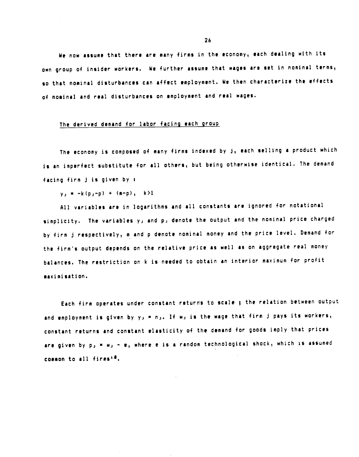We now assume that there are many firms in the economy, each dealing with its own group of insider workers. We further assume that wages are set In nominal terms, so that nominal disturbances can affect employment. We then characterize the effects of nominal and real disturbances on employment and real wages.

# The derived demand for labor facing each group

The economy is composed of many firms indexed by j, each selling a product which is an imperfect substitute for all others, but being otherwise identical. The demand facing firm j is given by  $\mathbf r$ 

 $y_3 = -k(p_3-p) + (m-p)_3$ , k>1

All variables are in logarithms and all constants are ignored for notational simplicity. The variables yj and pj denote the output and the nominal price charged by firm j respectively, m and p denote nominal money and the price level. Demand for the firm's output depends on the relative price as well as on aggregate real money balances. The restriction on k Is needed to obtain an interior maximum for profit maximi sation.

Each firm operates under constant returns to scale ; the relation between output and employment is given by  $y_j = n_j$ . If w, is the wage that firm j pays its workers, constant returns and constant elasticity of the demand for goods imply that prices are given by  $p_0$  =  $w_0$  - e, where e is a random technological shock, which is assumed common to all firms<sup>18</sup>.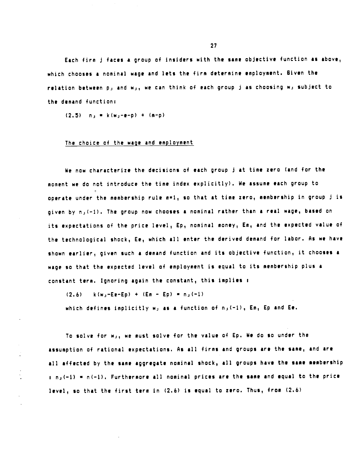Each firm J faces a group of insiders with the same objective function as above, which chooses a nominal wage and lets the firm determine employment. Biven the relation between p, and w,, we can think of each group j as choosing w, subject to the demand functions

 $(2.5)$  n<sub>j</sub> = k(w<sub>j</sub>-e-p) + (m-p)

#### The choice of the wage and employment

We now characterize the decisions of each group J at time zero (and for the moment we do not introduce the time index explicitly). We assume each group to operate under the membership rule mel, so that at time zero, membership in group J is given by nj(—l). The group now chooses a nominal rather than a real wage, based on its expectations of the price level, Ep, nominal money, Em, and the expected value of the technological shock, Ee, which all enter the derived demand for labor. As we have shown earlier, given such a demand function and its objective function, it chooses a wage so that the expected level of employment is equal to its membership plus a constant term. Ignoring again the constant, this implies i

 $(2.6)$  k(w<sub>j</sub>-Ee-Ep) + (Em - Ep) = n<sub>j</sub>(-1)

which defines implicitly w, as a function of  $n_3(-1)$ , Em, Ep and Ee.

To solve for w, we must solve for the value of Ep. We do so under the assumption of rational expectations. As all firms and groups are the same, and are all affected by the same aggregate nominal shock, all groups have the same membership <sup>g</sup> nj(—l) • n(—l). Furthermore all nominal prices are the same and equal to the price level, so that the first term in (2.6) is equal to zero. Thus, from C2.6)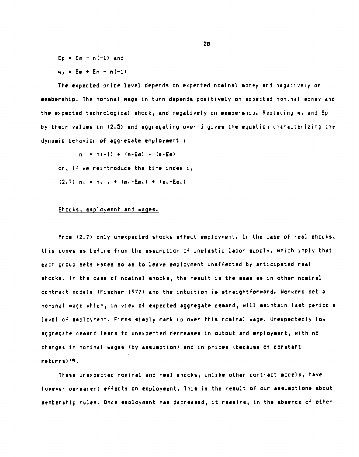Ep =  $Em - n(-1)$  and

 $W_3 = Ee + Em - n(-1)$ 

The expected price level depends on expected nominal money and negatively on membership. The nominal wage in turn depends positively on expected nominal money and the expected technological shock, and negatively on membership. Replacing Wj and Ep by their values in (2.5) and aggregating over j gives the equation characterizing the dynamic behavior of aggregate employment i

 $n = n(-1) + (n - En) + (e - Ee)$ or, if we reintroduce the time index 1,  $(2.7)$   $n_1 = n_{1-1} + (m_1 - Em_1) + (e_1 - Ee_1)$ 

## Shocks, employment and wages.

From (2.7) only unexpected shocks affect employment. In the case of real shocks, this comes as before from the assumption of inelastic labor supply, which imply that each group sets wages so as to leave employment unaffected by anticipated real shocks. In the case of nominal shocks, the result is the same as in other nominal contract models (Fischer 1977) and the intuition is straightforward. Workers set a nominal wage which, in view of expected aggregate demand, will maintain last period's level of employment. Firms simply mark up over this nominal wage. Unexpectedly low aggregate demand leads to unexpected decreases In output and employment, with no changes In nominal wages (by assumption) and in prices (because of constant returns)<sup>19</sup>.

These unexpected nominal and real shocks, unlike other contract models, have however permanent effects on employment. This is the result of our assumptions about membership rules. Once employment has decreased, it remains, In the absence of other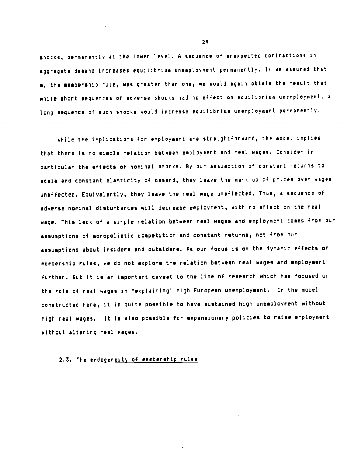shocks, permanently at the lower level. A sequence of unexpected contractions in aggregate demand increases equilibrium unemployment permanently. If we assumed that m, the membership rule, was greater than one, we would again obtain the result that while short sequences of adverse shocks had no effect on equilibrium unemployment, a long sequence of such shocks would increase equilibrium unemployment permanently.

While the implications for employment are straightforward, the model implies that there is no simple relation between employment and real wages. Consider in particular the effects of nominal shocks. By our assumption of constant returns to scale and constant elasticity of demand, they leave the mark up of prices over wages unaffected. Equivalently, they leave the real wage unaffected. Thus, a sequence of adverse nominal disturbances will decrease employment, with no effect on the real wage. This lack of a simple relation between real wages and employment comes from our assumptions of monopolistic competition and constant returns, not from our assumptions about insiders and outsiders. As our focus is on the dynamic effects of membership rules, we do not explore the relation between real wages and employment further. But it is an important caveat to the line of research which has focused on the role of real wages in "explaining" high European unemployment. In the model constructed here, it is quite possible to have sustained high unemployment without high real wages. It is also possible for expansionary policies to raise employment without altering real wages.

## 2.3. The endogeneity of membership rules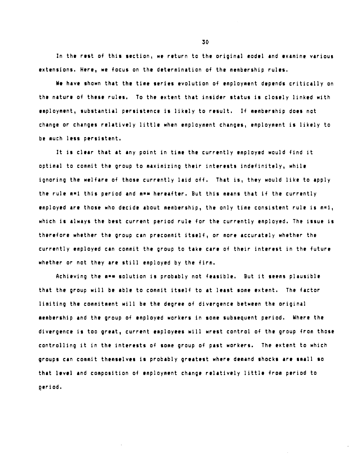In the rest of this section, we return to the original model and examine various extensions. Here, we focus on the determination of the membership rules.

We have shown that the time series evolution of employment depends critically on the nature of these rules. To the extent that insider status is closely linked with employment, substantial persistence is likely to result. If membership does not change or changes relatively little when employment changes, employment is likely to be much less persistent.

It is clear that at any point in time the currently employed would find it optimal to commit the group to maximizing their interests indefinitely, while ignoring the welfare of those currently laid off. That is, they would like to apply the rule m=1 this period and m=∞ hereafter. But this means that if the currently employed are those who decide about membership, the only time consistent rule is  $m=1$ , which is always the best current period rule for the currently employed. The issue is therefore whether the group can precommit itself, or more accurately whether the currently employed can commit the group to take care of their interest in the future whether or not they are still employed by the firm.

Achieving the m=∞ solution is probably not feasible. But it seems plausible that the group will be able to commit itself to at least some extent. The factor limiting the commitment will be the degree of divergence between the original membership and the group of employed workers in some subsequent period. Where the divergence is too great, current employees will wrest control of the group from those controlling it in the interests of some group of past workers. The extent to which groups can commit themselves Is probably greatest where demand shocks are small so that level and composition of employment change relatively little from period to period.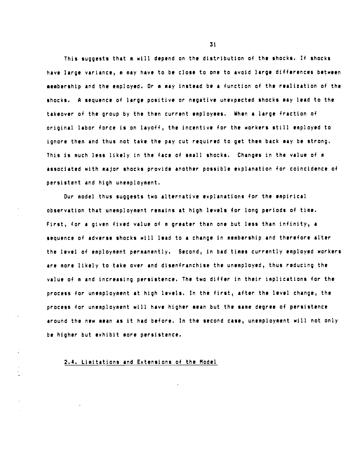This suggests that m will depend on the distribution of the shocks. If shocks have large variance, m may have to be close to one to avoid large differences between membership and the employed. Or m may instead be a function of the realization of the shocks. A sequence of large positive or negative unexpected shocks may lead to the takeover of the group by the then current employees. When a large fraction of original labor force is on layoff, the incentive for the workers still employed to ignore them and thus not take the pay cut required to get them back may be strong. This is much less likely in the face of small shocks. Changes in the value of m associated with major shocks provide another possible explanation for coincidence of persistent and high unemployment.

Our model thus suggests two alternative explanations for the empirical observation that unemployment remains at high levels for long periods of time. First, for a given fixed value of m greater than one but less than infinity, a sequence of adverse shocks will lead to a change In membership and therefore alter the level of employment permanently. Second, in bad times currently employed workers are more likely to take over and disenfranchise the unemployed, thus reducing the value of m and increasing persistence. The two differ in their implications for the process for unemployment at high levels. In the first, after the level change, the process for unemployment will have higher mean but the same degree of persistence around the new mean as it had before. In the second case, unemployment will not only be higher but exhibit more persistence.

### 2.4. Limitations and Extensions of the Model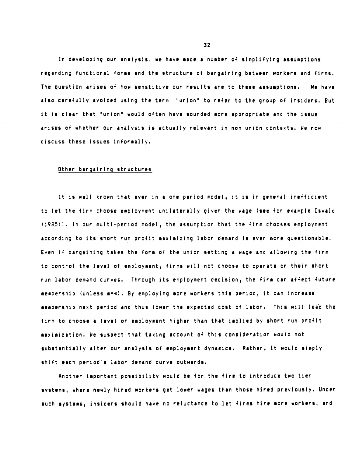In developing our analysis, we have made a number of simplifying assumptions regarding functional forms and the structure of bargaining between workers and firms. The question arises of how senstitive our results are to these assumptions. We have also carefully avoided using the term "union" to refer to the group of insiders. But it is clear that "union" would often have sounded more appropriate and the issue arises of whether our analysis is actually relevant in non union contexts. We now discuss these issues informally.

### Other bargaining structures

It is well known that even in a one period model, it Is in general inefficient to let the firm choose employment unilaterally given the wage (see for example Oswald (1985)). In our multi—period model, the assumption that the 4irm chooses employment according to its short run profit maximizing labor demand is even more questionable. Even i4 bargaining takes the form of the union setting a wage and allowing the 4irm to control the level of employment, firms will not choose to operate on their short run labor demand curves. Through its employment decision, the firm can affect future membership (unless  $m = \infty$ ). By employing more workers this period, it can increase membership next period and thus lower the expected cost of labor. This will lead the firm to choose a level of employment higher than that Implied by short run profit maximization. We suspect that taking account of this consideration would not substantially alter our analysis of employment dynamics. Rather, It would simply shift each period's labor demand curve outwards.

Another important possibility would be for the firm to introduce two tier systems, where newly hired workers get lower wages than those hired previously. Under such systems, insiders should have no reluctance to let firms hire more workers, and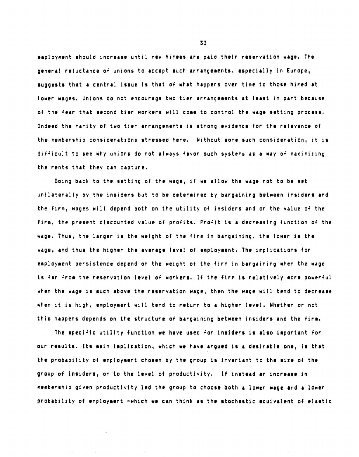employment should increase until new hirees are paid their reservation wage. The general reluctance of unions to accept such arrangements, especially in Europe, suggests that a central issue is that of what happens over time to those hired at lower wages. Unions do not encourage two tier arrangements at least in part because of the fear that second tier workers will come to control the wage setting process. Indeed the rarity of two tier arrangements is strong evidence for the relevance of the membership considerations stressed here. Without some such consideration, it is difficult to see why unions do not always favor such systems as a way of maximizing the rents that they can capture.

Going back to the setting of the wage, if we allow the wage not to be set unilaterally by the insiders but to be determined by bargaining between insiders and the firm, wages will depend both on the utility of insiders and on the value of the firm, the present discounted value of profits. Profit is a decreasing function of the wage. Thus, the larger is the weight of the firm in bargaining, the lower is the wage, and thus the higher the average level of employment. The implications for employment persistence depend on the weight of the firm in bargaining when the wage is far from the reservation level of workers. If the firm is relatively more powerful when the wage is much above the reservation wage, then the wage will tend to decrease when it is high, employment will tend to return to a higher level. Whether or not this happens depends on the structure of bargaining between insiders and the firm.

The specific utility function we have used for insiders is also important for our results. Its main implication, which we have argued is a desirable one, is that the probability of employment chosen by the group is invariant to the size of the group of Insiders, or to the level of productivity. If instead an increase in membership given productivity led the group to choose both a lower wage and a lower probability of employment —which we can think as the stochastic equivalent of elastic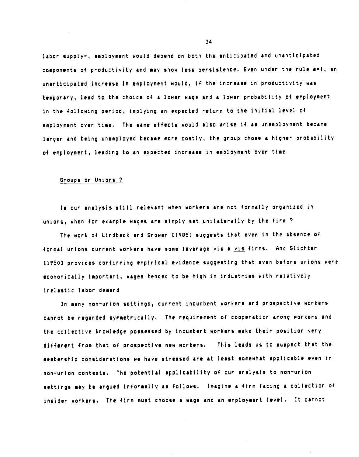labor supply—, employment would depend on both the anticipated and unanticipated components of productivity and may show less persistence. Even under the rule  $m=1$ , an unanticipated Increase in employment would, if the increase in productivity was temporary, lead to the choice of a lower wage and a lower probability of employment in the following period, implying an expected return to the initial level of employment over time. The same effects would also arise if as unemployment became larger and being unemployed became more costly, the group chose a higher probability of employment, leading to an expected increase in employment over time

### Groups or Unions ?

Is our analysis still relevant when workers are not formally organized in unions, when for example wages are simply set unilaterally by the firm ?

The work of Lindbeck and Snower 1985] suggests that even in the absence of formal unions current workers have some leverage vis a vis firms. And Slichter (1950] provides confirming empirical evidence suggesting that even before unions were economically important, wages tended to be high in industries with relatively inelastic labor demand

In many non—union settings, current incumbent workers and prospective workers cannot be regarded symmetrically. The requirement of cooperation among workers and the collective knowledge possessed by incumbent workers make their position very different from that of prospective new workers. This leads us to suspect that the membership considerations we have stressed are at least somewhat applicable even in non—union contexts. The potential applicability of our analysis to non—union settings may be argued Informally as follows. Imagine a firm facing a collection of insider workers. The firm must choose a wage and an employment level. It cannot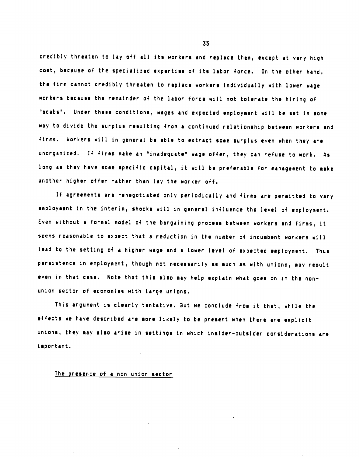credibly threaten to lay off all its workers and replace them, except at very high cost, because of the specialized expertise of its labor force. On the other hand, the firm cannot credibly threaten to replace workers individually with lower wage workers because the remainder of the labor force will not tolerate the hiring of "scabs". Under these conditions, wages and expected employment will be set in some way to divide the surplus resulting from a continued relationship between workers and firms. Workers will in general be able to extract some surplus even when they are unorganized. If firms make an "inadequate" wage offer, they can refuse to work. As long as they have some specific capital, it will be preferable for management to make another higher offer rather than lay the worker off.

If agreements are renegotiated only periodically and firms are permitted to vary employment in the interim, shocks will in general influence the level of employment. Even without a formal model of the bargaining process between workers and firms, it seems reasonable to expect that a reduction in the number of incumbent workers will lead to the setting of a higher wage and a lower level of expected employment. Thus persistence in employment, though not necessarily as much as with unions, may result even in that case. Note that this also may help explain what goes on in the nonunion sector of economies with large unions.

This argument is clearly tentative. But we conclude from it that, while the effects we have described are more likely to be present when there are explicit unions, they may also arise in settings in which insider—outsider considerations are important.

### The presence of a non union sector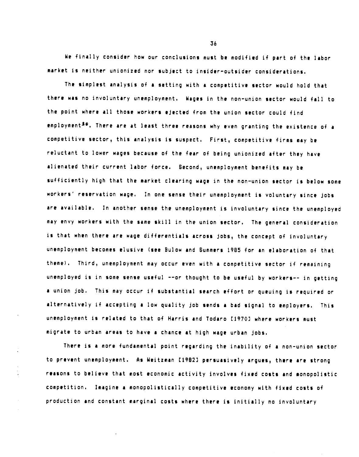We finally consider how our conclusions must be modified if part of the labor market is neither unionized nor subject to insider—outsider considerations.

The simplest analysis of a setting with a competitive sector would hold that there was no involuntary unemployment. Wages in the non—union sector would fall to the point where all those workers ejected from the union sector could find employment<sup>30</sup>. There are at least three reasons why even granting the existence of a competitive sector, this analysis is suspect. First, competitive firms may be reluctant to lower wages because of the fear of being unionized after they have alienated their current labor force. Second, unemployment benefits may be sufficiently high that the market clearing wage in the non—union sector is below some workers' reservation wage. In one sense their unemployment is voluntary since jobs are available. In another sense the unemployment is involuntary since the unemployed may envy workers with the same skill in the union sector. The general consideration is that when there are wage differentials across jobs, the concept of involuntary unemployment becomes elusive (see Bulow and Bummers 985 for an elaboration of that theme). Third, unemployment may occur even with a competitive sector if remaining unemployed is in some sense useful ——or thought to be useful by workers—— in getting a union job. This may occur if substantial search effort or queuing is required or alternatively if accepting a low quality job sends a bad signal to employers. This unemployment is related to that of Harris and Todaro 197O where workers must migrate to urban areas to have a chance at high wage urban jobs.

There is a more fundamental point regarding the inability of a non-union sector to prevent unemployment. As Weitzman t1982) persuasively argues, there are strong reasons to believe that most economic activity Involves fixed costs and monopolistic competition. Imagine a monopolistically competitive economy with fixed costs of production and constant marginal costs where there is initially no involuntary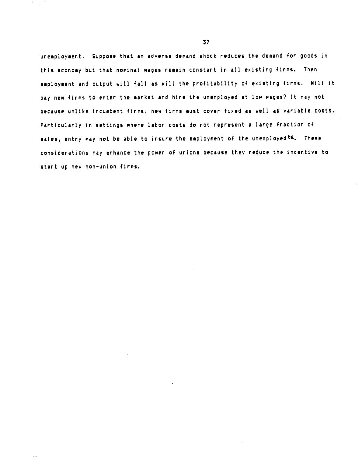unemployment. Suppose that an adverse demand shock reduces the demand for goods in this economy but that nominal wages remain constant in all existing firms. Then employment and output will fall as will the profitability of existing firms. Will it pay new firms to enter the market and hire the unemployed at low wages? It may not because unlike incumbent firms, new firms must cover fixed as well as variable costs. Particularly in settings where labor costs do not represent a large fraction of sales, entry may not be able to insure the employment of the unemployed<sup>24</sup>. These considerations may enhance the power of unions because they reduce the incentive to start up new non—union firms.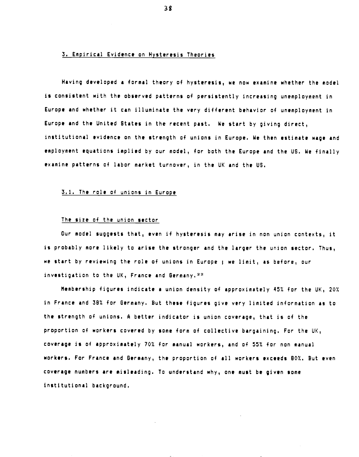### 3. Empirical Evidence on Hysteresis Theories

Having developed a formal theory of hysteresis, we now examine whether the model is consistent with the observed patterns of persistently increasing unemployment in Europe and whether it can illuminate the very different behavior of unemployment in Europe and the United States in the recent past. We start by giving direct, institutional evidence on the strength of unions in Europe. We then estimate wage and employment equations implied by our model, for both the Europe and the US. We finally examine patterns of labor market turnover, in the UK and the US.

### 3.1. The role of unions in Europe

### The size of the union sector

Our model suggests that, even if hysteresis may arise in non union contexts, it is probably more likely to arise the stronger and the larger the union sector. Thus, we start by reviewing the role of unions in Europe we limit, as before, our investigation to the UK, France and Germany.22

Membership figures indicate a union density of approximately 45% for the UK, 20% in France and 38% for Germany. But these figures give very limited information as to the strength of unions. A better indicator is union coverage, that is of the proportion of workers covered by some form of collective bargaining. For the UK, coverage is of approximately 70% for manual workers, and of 557. for non manual workers. For France and Germany, the proportion of all workers exceeds 80%. But even coverage numbers are misleading. To understand why, one must be given some institutional background.

3g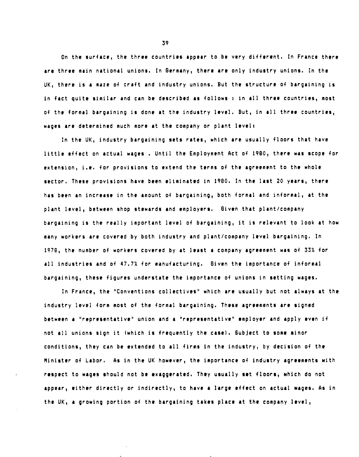On the surface, the three countries appear to be very different. In France there are three main national unions. In Germany, there are only Industry unions. In the UK, there is a maze of craft and industry unions. But the structure of bargaining is in fact quite similar and can be described as follows : in all three countries, most of the formal bargaining is done at the industry level. But, in all three countries, wages are determined much more at the company or plant leveli

In the UK, industry bargaining sets rates, which are usually floors that have little effect on actual wages • Until the Employment Act of 1980, there was scope for extension, i.e. for provisions to extend the term; of the agreement to the whole sector. These provisions have been eliminated in 1980. In the last 20 years, there has been an increase in the amount of bargaining, both formal and informal, at the plant level, between shop stewards and employers. Given that plant/company bargaining is the really important level of bargaining, It is relevant to look at how many workers are covered by both industry and plant/company level bargaining. In 1978, the number of workers covered by at least a company agreement was of 33X for all industries and of 47.77. for manufacturing. Given the importance of informal bargaining, these figures understate the importance of unions in setting wages.

In France, the "Conventions collectives" which are usually but not always at the industry level form most of the formal bargaining. These agreements are signed between a "representative" union and a "representative" employer and apply even if not all unions sign it (which is frequently the case). Subject to some minor conditions, they can be extended to all firms In the industry, by decision of the Minister of Labor. As in the UK however, the importance of industry agreements with respect to wages should not be exaggerated. They usually set floors, which do not appear, either directly or indirectly, to have a large effect on actual wages. As in the UK, a growing portion of the bargaining takes place at the company level,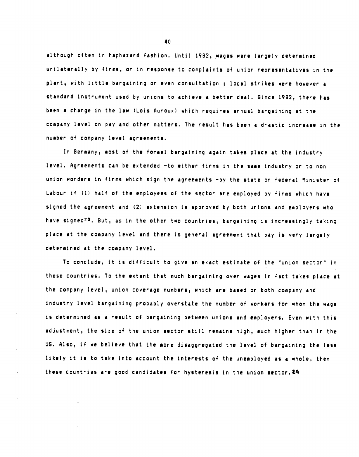although often in haphazard fashion. Until 1982, wages were largely determined unilaterally by firms, or in response to complaints of union representatives in the plant, with little bargaining or even consultation ; local strikes were however a standard instrument used by unions to achieve a better deal. Since 1982, there has been a change in the law (Lois Auroux) which requires annual bargaining at the company level on pay and other matters. The result has been a drastic increase in the number of company level agreements.

In Germany, most of the formal bargaining again takes place at the industry level. Agreements can be extended -to either firms in the same industry or to non union worders in firms which sign the agreements —by the state or federal Minister of Labour if (1) half of the employees of the sector are employed by firms which have signed the agreement and (2) extension is approved by both unions and employers who have signed<sup>22</sup>. But, as in the other two countries, bargaining is increasingly taking place at the company level and there is general agreement that pay is very largely determined at the company level.

To conclude, it is difficult to give an exact estimate of the 'union sector' in these countries. To the extent that much bargaining aver wages In fact takes place at the company level, union coverage numbers, which are based on both company and industry level bargaining probably overstate the number of workers for whom the wage is determined as a result of bargaining between unions and employers. Even with this adjustment, the size of the union sector still remains high, much higher than in the US. Also, if we believe that the mare disaggregated the level of bargaining the less likely it is to take into account the interests of the unemployed as a whole, then these countries are good candidates for hysteresis in the union sector.  $24$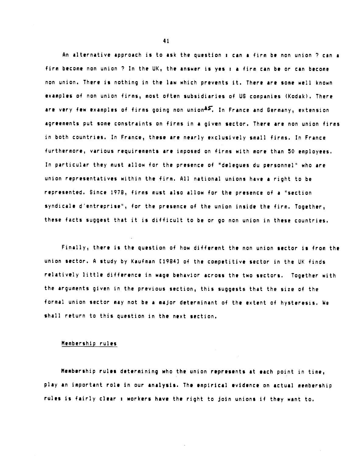An alternative approach is to ask the question : can a firm be non union ? can a firm become non union ? In the UK, the answer is yes <sup>i</sup> <sup>a</sup> firm can be or can become non union. There is nothing in the law which prevents it. There are some well known examples of non union firms, most often subsidiaries of US companies (Kodak). There are very few examples of firms going non union  $\frac{45}{10}$ . In France and Germany, extension agreements put some constraints on firms in a given sector. There are non union firms in both countries. In France, these are nearly exclusively small firms. In France furthermore, various requirements are imposed on firms with more than 50 employees. In particular they must allow for the presence of "delegues du personnel" who are union representatives within the firm. All national unions have a right to be represented. Since 17B, firms must also allow for the presence of a "section syndicale d'entreprise", for the presence of the union inside the firm. Together, these facts suggest that it is difficult to be or go non union in these countries.

Finally, there is the question of how different the non union sector is from the union sector. A study by Kaufman t1984 of the competitive sector in the UK finds relatively little difference in wage behavior across the two sectors. Together with the arguments given in the previous section, this suggests that the size of the formal union sector may not be a major determinant of the extent of hysteresis. We shall return to this question in the next section.

### Membership rules

Membership rules determining who the union represents at each point in time, play an important role in our analysis. The empirical evidence on actual membership rules is fairly clear workers have the right to join unions if they want to.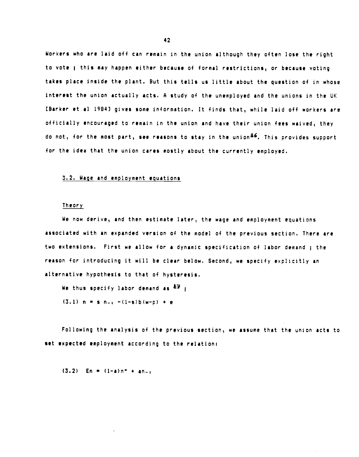Workers who are laid oft can remain in the union although they often lose the right to vote p this may happen either because of formal restrictions, or because voting takes place inside the plant. But this tells us little about the question of in whose interest the union actually acts. A study of the unemployed and the unions in the UK tBarker et a) 1984) gives some information. It finds that, while laid off workers are officially encouraged to remain in the union and have their union fees waived, they do not, for the most part, see reasons to stay in the union<sup>46</sup>. This provides support for the idea that the union cares mostly about the currently employed.

### 3.2. Wage and employment equations

### Theory

We now derive, and then estimate later, the wage and employment equations associated with an expanded version of the model of the previous section. There are two extensions. First we allow for a dynamic specification of labor demand ; the reason for introducing it will be clear below. Second, we specify explicitly an alternative hypothesis to that of hysteresis.

We thus specify labor demand as  $E\overline{F}$  :  $(3.1)$  n = s n<sub>-1</sub> -(1-s)b(w-p) + e

Following the analysis of the previous section, we assume that the union acts to set expected employment according to the relations

 $(3.2)$  En =  $(1-a)n^{2} + an_{-1}$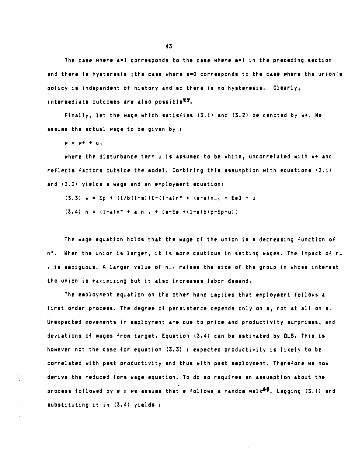The case where  $a=1$  corresponds to the case where  $n=1$  in the preceding section and there is hysteresis ; the case where a=0 corresponds to the case where the union's policy is independent of history and so there is no hysteresis. Clearly, interaediate outcomes are also possible<sup>9.9</sup>.

Finally, let the wage which satisfies (3.1) and (3.2) be denoted by w\*. We assume the actual wage to be given by s

 $w = w^* + u$ ,

where the disturbance term u is assumed to be white, uncorrelated with w\* and reflects factors outside the model. Combining this assumption with equations (3.1) and (3.2) yields a wage and an employment equations

 $(3.3)$  w = Ep +  $(1/b(1-s))[-(1-a)n^* + (s-a)n_{-1} + Ee] + u$  $(3.4)$  n =  $(1-a)n^* + a n_{-1} + [e-Ee + (1-s)b(p-Ep-u)]$ 

The wage equation holds that the wage of the union is a decreasing function of n. When the union is larger, it is more cautious in setting wages. The impact of n  $i$  is ambiguous. A larger value of  $n_{-1}$  raises the size of the group in whose interest the union is maximizing but it also increases labor demand.

The employment equation on the other hand implies that employment follows a first order process. The degree of persistence depends only on a, not at all on s. Unexpected movements in employment are due to price and productivity surprises, and deviations of wages from target. Equation (3.4) can be estimated by OLS. This Is however not the case for equation (3.3) s expected productivity is likely to be correlated with past productivity and thus with past employment. Therefore we now derive the reduced form wage equation. To do so requires an assumption about the process followed by e  $i$  we assume that e follows a random walk<sup>29</sup>. Lagging (3.1) and substituting it in (3.4) yields i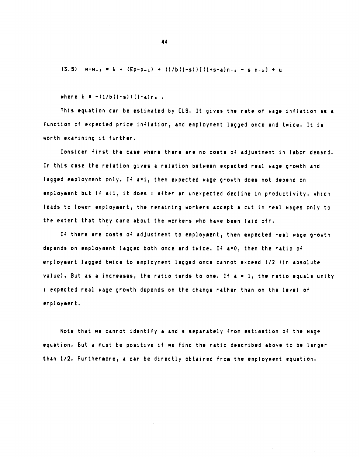$(3.5)$  w-w<sub>-1</sub> = k +  $(Ep-p_{-1})$  +  $(1/b(1-s))E(1+s-a)n_{-1}$  - s  $n_{-2}$  + u

where  $k = -(1/b(1-s))(1-a)$ n.

This equation can be estimated by OLS. It gives the rate of wage inflation as a function of expected price inflation, and employment lagged once and twice. It is worth examining it further.

Consider first the case where there are no costs of adjustment in labor demand. In this case the relation gives a relation between expected real wage growth and lagged employment only. If a=1, then expected wage growth does not depend on employment but if a<1, it does : after an unexpected decline in productivity, which leads to lower employment, the remaining workers accept a cut in real wages only to the extent that they care about the workers who have been laid off.

If there are costs of adjustment to employment, then expected real wage growth depends on employment lagged both once and twice. If a=0, then the ratio of employment lagged twice to employment lagged once cannot exceed 1/2 (in absolute value). But as a increases, the ratio tends to one. If  $a = 1$ , the ratio equals unity <sup>i</sup> expected real wage growth depends on the change rather than on the level of employment.

Note that we cannot identify a and s separately from estimation of the wage equation. But a must be positive if we find the ratio described above to be larger than 1/2. Furthermore, a can be directly obtained from the employment equation.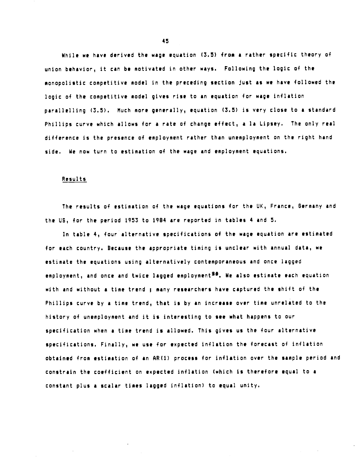While we have derived the wage equation (3.5) from a rather specific theory of union behavior, It can be motivated in other ways. Following the logic of the monopolistic competitive model in the preceding section just as we have followed the logic of the competitive model gives rise to an equation for wage inflation parallelling (3.5). Much more generally, equation (3.5) is very close to a standard Phillips curve which allows for a rate of change effect, a la Lipsey. The only real difference is the presence of employment rather than unemployment on the right hand side. We now turn to estimation of the wage and employment equations.

### Results

The results of estimation of the wage equations for the UK, France, Bermany and the US, for the period 1953 to 1984 are reported in tables 4 and 5.

In table 4, four alternative specifications of the wage equation are estimated for each country. Because the appropriate timing is unclear with annual data, we estimate the equations using alternatively contemporaneous and once lagged employment, and once and twice lagged employment<sup>30</sup>. We also estimate each equation with and without a time trend ; many researchers have captured the shift of the Phillips curve by a time trend, that is by an Increase over time unrelated to the history of unemployment and it is interesting to see what happens to our specification when a time trend is allowed. This gives us the tour alternative specifications. Finally, we use for expected inflation the forecast of inflation obtained from estimation of an AR(1) process for inflation over the sample period and constrain the coefficient on expected inflation (which is therefore equal to a constant plus a scalar times lagged inflation) to equal unity.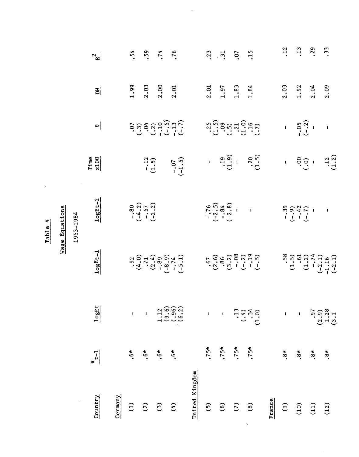$\ddot{\cdot}$ 

### Wage Equations Wage Equations<br>1953–1984

 $\ddot{\phantom{0}}$ 

| ~∡                               |         |                                  |                                        |                   | $54$<br>$74$<br>$76$<br>$76$                                                  |                |                                      |                |             | .31 07                                                                                 |                                           |        | $\frac{1}{2}$ $\frac{1}{2}$ $\frac{3}{2}$ $\frac{3}{2}$                |                                                                                  |               |                                                          |  |
|----------------------------------|---------|----------------------------------|----------------------------------------|-------------------|-------------------------------------------------------------------------------|----------------|--------------------------------------|----------------|-------------|----------------------------------------------------------------------------------------|-------------------------------------------|--------|------------------------------------------------------------------------|----------------------------------------------------------------------------------|---------------|----------------------------------------------------------|--|
| 릐                                |         |                                  |                                        |                   | $1.99$<br>$2.03$<br>$2.00$<br>$2.01$                                          |                | $2.01$<br>$1.97$<br>$1.83$<br>$1.84$ |                |             |                                                                                        |                                           |        | $2.03$<br>$1.92$<br>$2.04$<br>$2.09$                                   |                                                                                  |               |                                                          |  |
| $\bullet$ $\mid$                 |         |                                  |                                        |                   | $(3)$<br>$(3)$<br>$(3)$<br>$(1)$<br>$(1)$<br>$(1)$<br>$(1)$<br>$(1)$<br>$(1)$ |                |                                      |                |             | $.25$<br>$.39$<br>$.31$<br>$.30$<br>$.31$<br>$.30$<br>$.31$<br>$.35$<br>$.32$<br>$.35$ |                                           |        | $\frac{1}{1}$ $\frac{5}{1}$ $\frac{5}{1}$ $\frac{1}{1}$                |                                                                                  |               |                                                          |  |
| $T_{\text{1me}}$<br>$\times 100$ |         |                                  |                                        |                   | $-12$<br>(1.5)<br>(1.5)<br>$-07$<br>(1.5)                                     |                |                                      |                |             |                                                                                        | $-19$<br>(1.9)<br>$-19$<br>$-20$<br>(1.5) |        |                                                                        | $\begin{pmatrix} 0 & 0 & 0 \\ 0 & 0 & 0 \\ 0 & 0 & 0 \\ 0 & 0 & 0 \end{pmatrix}$ |               |                                                          |  |
| $logEt-2$                        |         |                                  | $-80$<br>$(-4.2)$<br>$-57$<br>$(-2.2)$ |                   |                                                                               |                |                                      |                |             | $(-2.76$<br>$(-2.5)$<br>$(-84$<br>$(-2.8)$<br>$(-2.8)$                                 |                                           |        | $-39$<br>$-39$<br>$-32$<br>$-1$<br>$-1$<br>$-1$<br>$-1$                |                                                                                  |               |                                                          |  |
| $logEt-1$                        |         |                                  |                                        |                   | $(4.0)$<br>$(4.0)$<br>$(71$<br>$(2.4)$<br>$(-8.9)$<br>$(-5.1)$                |                |                                      |                |             | $.67$<br>$(.6)$<br>$.86$<br>$.30$<br>$.30$<br>$.19$<br>$.19$<br>$.19$                  |                                           |        | .58<br>$(1.5)$<br>$(1.2)$<br>$(1.2)$<br>$(1.2)$<br>$(1.2)$<br>$(1.16)$ |                                                                                  |               |                                                          |  |
| <b>logEt</b>                     |         |                                  | $\mathbf{I}$                           | $\frac{1}{10}$ .  | $(9.6)$<br>$(96)$<br>$(6.2)$                                                  |                | $\mathbf{I}$                         | $\mathbf{I}$   |             | $\begin{array}{c} .13 \\ .34 \\ .13 \\ .24 \end{array}$                                |                                           |        | $\mathbf{I}$                                                           | I                                                                                |               | $\begin{array}{c} .97 \\ .30 \\ .128 \\ .31 \end{array}$ |  |
| $\Xi$                            |         | $\ddot{\circ}$                   | $\ddot{\circ}$ .                       | $\ddot{\cdot}9$ . | $6*$                                                                          |                | $75*$                                | $.75*$         | $.75*$      | $.75*$                                                                                 |                                           |        | $.8*$                                                                  | $\ddot{8}$                                                                       | $\frac{*}{8}$ | $\frac{*}{8}$                                            |  |
| Country                          | Germany | $\begin{array}{c} 1 \end{array}$ | (2)                                    | $\ddot{c}$        | $\widehat{f}$                                                                 | United Kingdom | $\widehat{5}$                        | $\overline{6}$ | $\tilde{c}$ | $\widehat{B}$                                                                          |                                           | France | $\widehat{e}$                                                          | (10)                                                                             | (11)          | (12)                                                     |  |

 $\ddot{\cdot}$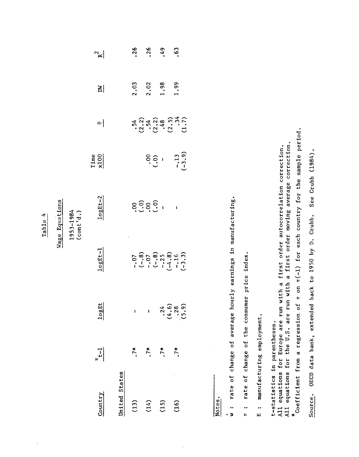$\sim$ 

Table 4

 $\hat{\mathcal{L}}$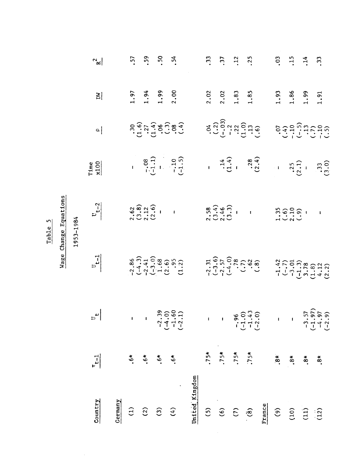| ٢ |  |
|---|--|
| ٥ |  |
|   |  |
|   |  |

## Table 5<br>Wage Change Equations Wage Change Equations

1953-1984 1953—1984

 $\mathcal{A}^{\mathcal{A}}$ 

| Country                                    | $\Gamma^{-1}$           | $D^{\mu}$                                     | $\frac{1}{1-1}$                                                                                                                                                                                                                           | $\frac{U_{t-2}}{U_{t-1}}$        | $\frac{Time}{x100}$ | $\circ  $                                                                                                                                                                                                                                                                                                                                                                                                                                                                                                                                                           | ăΙ                                                       | $\frac{1}{\alpha}$ |
|--------------------------------------------|-------------------------|-----------------------------------------------|-------------------------------------------------------------------------------------------------------------------------------------------------------------------------------------------------------------------------------------------|----------------------------------|---------------------|---------------------------------------------------------------------------------------------------------------------------------------------------------------------------------------------------------------------------------------------------------------------------------------------------------------------------------------------------------------------------------------------------------------------------------------------------------------------------------------------------------------------------------------------------------------------|----------------------------------------------------------|--------------------|
| Cermany                                    |                         |                                               |                                                                                                                                                                                                                                           |                                  |                     |                                                                                                                                                                                                                                                                                                                                                                                                                                                                                                                                                                     |                                                          |                    |
| $\widehat{\Xi}$                            | $.6*$                   |                                               |                                                                                                                                                                                                                                           |                                  |                     |                                                                                                                                                                                                                                                                                                                                                                                                                                                                                                                                                                     |                                                          |                    |
| (2)                                        | $.6*$                   | $\sim$ 1                                      |                                                                                                                                                                                                                                           |                                  |                     |                                                                                                                                                                                                                                                                                                                                                                                                                                                                                                                                                                     |                                                          |                    |
| $(3)$                                      | $.6*$                   |                                               |                                                                                                                                                                                                                                           | $2.62$<br>(3.8)<br>2.12<br>(2.6) |                     |                                                                                                                                                                                                                                                                                                                                                                                                                                                                                                                                                                     | $1.97$<br>$1.94$<br>$1.99$<br>$2.00$                     |                    |
|                                            | $\ddot{\phantom{0}}$    | $-2.39$<br>$(-4.0)$<br>$(-1.60)$<br>$(-2.1)$  | $\begin{array}{r} -2.86 \\ (-4.3) \\ -2.41 \\ (-3.0) \\ (-3.0) \\ 1.68 \\ (2.6) \\ 0.95 \\ (1.2) \end{array}$                                                                                                                             |                                  |                     | $30$<br>$(1.6)$<br>$(1.4)$<br>$(1.6)$<br>$(1.3)$<br>$(1.6)$<br>$(1.6)$<br>$(1.6)$<br>$(1.6)$                                                                                                                                                                                                                                                                                                                                                                                                                                                                        |                                                          | $57.59$<br>$59.54$ |
| United Kingdom                             |                         |                                               |                                                                                                                                                                                                                                           |                                  |                     |                                                                                                                                                                                                                                                                                                                                                                                                                                                                                                                                                                     |                                                          |                    |
| (5)                                        | $.75*$                  |                                               |                                                                                                                                                                                                                                           |                                  |                     |                                                                                                                                                                                                                                                                                                                                                                                                                                                                                                                                                                     |                                                          |                    |
|                                            | $.75*$                  |                                               |                                                                                                                                                                                                                                           |                                  |                     |                                                                                                                                                                                                                                                                                                                                                                                                                                                                                                                                                                     |                                                          |                    |
|                                            | $.75*$                  |                                               |                                                                                                                                                                                                                                           |                                  |                     |                                                                                                                                                                                                                                                                                                                                                                                                                                                                                                                                                                     |                                                          |                    |
| $(6)$<br>$(7)$<br>$(8)$                    |                         | $-1.0$<br>$-1.43$<br>$-2.0$                   | $\begin{array}{cc} .11,10,0.0000,0.0000,0.0000,0.0000,0.0000,0.0000,0.0000,0.0000,0.0000,0.0000,0.0000,0.0000,0.0000,0.0000,0.0000,0.0000,0.0000,0.0000,0.0000,0.0000,0.0000,0.0000,0.0000,0.0000,0.0000,0.0000,0.0000,0.0000,0.0000,0.0$ |                                  |                     | $. \begin{array}{ll} . \begin{array}{ll} . \begin{array}{ll} . \begin{array}{ll} . \end{array} \\ . \end{array} \\ . \begin{array}{ll} . \end{array} \\ . \end{array} \\ . \end{array} \\ \begin{array}{ll} . \end{array} \\ . \end{array} \\ \begin{array}{ll} . \end{array} \\ . \end{array} \\ \begin{array}{ll} . \end{array} \\ . \end{array} \\ \begin{array}{ll} . \end{array} \\ \begin{array}{ll} . \end{array} \\ . \end{array} \\ \begin{array}{ll} . \end{array} \\ \begin{array}{ll} . \end{array} \\ . \end{array} \\ \begin{array}{ll} . \end{array$ | $2.02$<br>$2.83$<br>$1.85$<br>$1.93$<br>$1.99$<br>$1.91$ | 37 32 32 33 34 35  |
| france                                     |                         |                                               |                                                                                                                                                                                                                                           |                                  |                     |                                                                                                                                                                                                                                                                                                                                                                                                                                                                                                                                                                     |                                                          |                    |
| $\hat{c}$                                  | $.8*$                   |                                               |                                                                                                                                                                                                                                           |                                  |                     |                                                                                                                                                                                                                                                                                                                                                                                                                                                                                                                                                                     |                                                          |                    |
| (10)                                       | $\ddot{\circ}$          | $\sim 0$                                      |                                                                                                                                                                                                                                           |                                  |                     |                                                                                                                                                                                                                                                                                                                                                                                                                                                                                                                                                                     |                                                          |                    |
| $\begin{array}{c} (11)\\ (12) \end{array}$ | $\boldsymbol{\ddot{s}}$ |                                               |                                                                                                                                                                                                                                           |                                  |                     |                                                                                                                                                                                                                                                                                                                                                                                                                                                                                                                                                                     |                                                          |                    |
|                                            | $\frac{*}{\infty}$      | $-3.57$<br>$(-1.97)$<br>$(-4.97)$<br>$(-2.9)$ |                                                                                                                                                                                                                                           |                                  |                     |                                                                                                                                                                                                                                                                                                                                                                                                                                                                                                                                                                     |                                                          |                    |
|                                            |                         |                                               |                                                                                                                                                                                                                                           |                                  |                     |                                                                                                                                                                                                                                                                                                                                                                                                                                                                                                                                                                     |                                                          |                    |

 $\sim$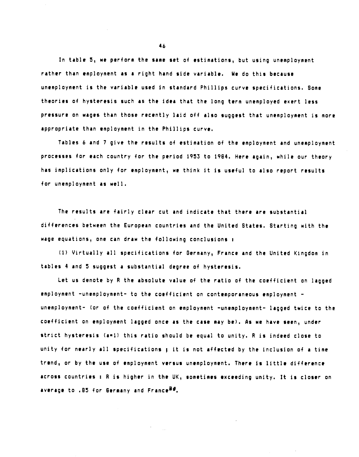In table 5, we perform the same set of estimations, but using unemployment rather than employment as a right hand side variable. We do this because unemployment is the variable used In standard Phillips curve specifications. Some theories of hysteresis such as the idea that the long term unemployed exert less pressure on wages than those recently laid off also suggest that unemployment is more appropriate than employment in the Phillips curve.

Tables 6 and 7 give the results of estimation of the employment and unemployment processes for each country for the period 1953 to 1984. Here again, while our theory has implications only for employment, we think it is useful to also report results for unemployment as well.

The results are fairly clear cut and indicate that there are substantial differences between the European countries and the United States. Starting with the wage equations, one can draw the following conclusions i

(1) Virtually all specifications for Germany, France and the United Kingdom in tables 4 and S suggest a substantial degree of hysteresis.

Let us denote by R the absolute value of the ratio of the coefficient on lagged employment —unemployment— to the coefficient on contemporaneous employment unemployment— (or of the coefficient on employment —unemployment— lagged twice to the coefficient on employment lagged once as the case may be). As we have seen, under strict hysteresis  $(a=1)$  this ratio should be equal to unity. R is indeed close to unity for nearly all specifications it is not affected by the inclusion of a time trend, or by the use of employment versus unemployment. There is little difference across countries : R is higher in the UK, sometimes exceeding unity, It is closer on average to .85 for Germany and France<sup>39</sup>.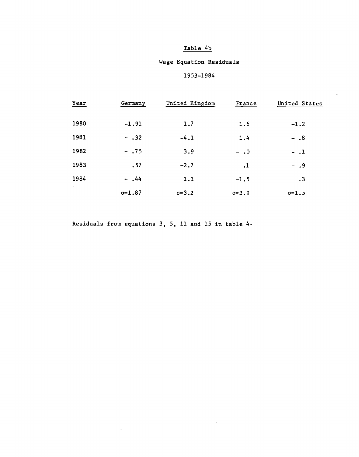### Table 4b

### Wage Equation Residuals

### 1953—1984

 $\ddot{\phantom{0}}$ 

 $\hat{\mathcal{A}}$ 

| Year            | Germany         | United Kingdom | France         | United States  |
|-----------------|-----------------|----------------|----------------|----------------|
| 1980            | $-1.91$         | 1.7            | 1.6            | $-1.2$         |
| 1981            | $-.32$          | $-4.1$         | 1.4            | $-.8$          |
| 1982            | $-.75$          | 3.9            | $- .0$         | $-.1$          |
| 1983            | .57             | $-2.7$         | $\cdot$        | $- .9$         |
| 1984            | $-.44$          | 1.1            | $-1.5$         | $\cdot$ 3      |
| $\sim 10^{-11}$ | $\sigma = 1.87$ | $\sigma = 3.2$ | $\sigma = 3.9$ | $\sigma = 1.5$ |

 $\bar{\mathcal{A}}$ 

Residuals from equations 3, 5, 11 and 15 in table 4.

 $\bar{\omega}$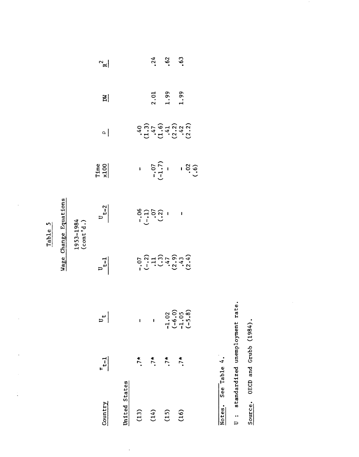l,

 $\ddot{\phantom{0}}$ 

 $\frac{1}{\sigma}$ 

Wage Change Equations Wage Change Equations

|               |                 |                                            |                                                                                                                                                                                                                                                                                                                                                                                      | 1953-1984<br>(cont'd.)           |                                                    |                                                                                                      |                            |                    |
|---------------|-----------------|--------------------------------------------|--------------------------------------------------------------------------------------------------------------------------------------------------------------------------------------------------------------------------------------------------------------------------------------------------------------------------------------------------------------------------------------|----------------------------------|----------------------------------------------------|------------------------------------------------------------------------------------------------------|----------------------------|--------------------|
| Country       | $\frac{1}{T-1}$ | ⊔ີ່                                        | $\frac{r-1}{n}$                                                                                                                                                                                                                                                                                                                                                                      | $\frac{U_{t-2}}{U}$              | $T1me$ $x100$                                      | $\alpha$                                                                                             | 릐                          | $\frac{1}{\alpha}$ |
| United States |                 |                                            |                                                                                                                                                                                                                                                                                                                                                                                      |                                  |                                                    |                                                                                                      |                            |                    |
| (13)          | $.7*$           | $\blacksquare$                             |                                                                                                                                                                                                                                                                                                                                                                                      |                                  | $\mathbf{E}$                                       |                                                                                                      |                            |                    |
| (14)          | $.7*$           | ł                                          |                                                                                                                                                                                                                                                                                                                                                                                      | $-32$<br>$-32$<br>$-32$<br>$-32$ |                                                    |                                                                                                      |                            |                    |
| (15)          | $.7*$           |                                            |                                                                                                                                                                                                                                                                                                                                                                                      |                                  |                                                    |                                                                                                      | $2.01$<br>$1.99$<br>$1.99$ | $.54$<br>$.62$     |
| (16)          | $,7*$           | $-1.02$<br>$(-6.0)$<br>$-1.05$<br>$(-5.8)$ | $\begin{array}{c} -0.07 \\ (-2.0) \\ (-1.1) \\ (-3.0) \\ (-4.0) \\ (-4.0) \\ (-4.0) \\ (-4.0) \\ (-4.0) \\ (-4.0) \\ (-4.0) \\ (-4.0) \\ (-4.0) \\ (-4.0) \\ (-4.0) \\ (-4.0) \\ (-4.0) \\ (-4.0) \\ (-4.0) \\ (-4.0) \\ (-4.0) \\ (-4.0) \\ (-4.0) \\ (-4.0) \\ (-4.0) \\ (-4.0) \\ (-4.0) \\ (-4.0) \\ (-4.0) \\ (-4.0) \\ (-4.0) \\ (-4.0) \\ (-4.0) \\ (-4.0) \\ (-4.0) \\ (-4.$ | $\mathcal{L}$                    | $-1.07$<br>$-1.7$<br>$-1.02$<br>$-1.02$<br>$-1.02$ | $\begin{array}{c} .40 \\ .1.3) \\ .47 \\ .41 \\ .42 \\ .42 \\ .43 \\ .42 \\ .42 \\ .2.3 \end{array}$ |                            |                    |
|               |                 |                                            |                                                                                                                                                                                                                                                                                                                                                                                      |                                  |                                                    |                                                                                                      |                            |                    |

Notes. See Table 4. Notes. See Table 4.

U : standardized unemployment rate. U : standardized unemployment rate.

Source. OECD and Grubb (1984). Source. OECD and Grubb (1984).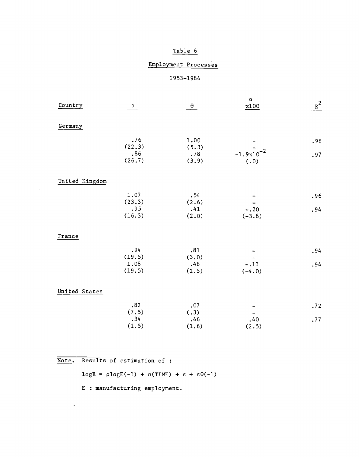### Employment Processes

### 1953—1984

| Country        | $\mathsf{p}$   | $\Theta$      | α<br>x100              | $R^2$ |
|----------------|----------------|---------------|------------------------|-------|
| Germany        |                |               |                        |       |
|                | .76<br>(22.3)  | 1.00<br>(5.3) |                        | .96   |
|                | .86<br>(26.7)  | .78<br>(3.9)  | $-1.9x10^{-2}$<br>(.0) | .97   |
| United Kingdom |                |               |                        |       |
|                | 1.07<br>(23.3) | .54<br>(2.6)  |                        | .96   |
|                | .95<br>(16.3)  | .41<br>(2.0)  | $-.20$<br>$(-3.8)$     | .94   |
| France         |                |               |                        |       |
|                | .94<br>(19.5)  | .81<br>(3.0)  |                        | .94   |
|                | 1.08<br>(19.5) | .48<br>(2.5)  | $-.13$<br>$(-4.0)$     | .94   |
| United States  |                |               |                        |       |
|                | .82<br>(7.5)   | .07<br>(.3)   |                        | .72   |
|                | .34<br>(1.5)   | .46<br>(1.6)  | .40<br>(2.5)           | .77   |

Note. Results of estimation of :

 $\mathcal{L}_{\mathcal{A}}$ 

 $\sim$ 

 $logE = plogE(-1) + \alpha(TIME) + \epsilon + \epsilon\Theta(-1)$ 

E : manufacturing employment.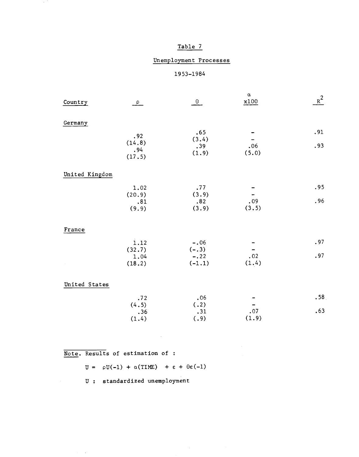### Unemployment Processes

### 1953—1984

| Country        | $\rho$        | $\Theta$     | $\pmb{\alpha}$<br>x100 | $\mathrm{R}^2$   |
|----------------|---------------|--------------|------------------------|------------------|
| Germany        |               |              |                        |                  |
|                | .92           | .65          |                        | .91              |
|                | (14.8)        | (3.4)<br>.39 | ${\bf .06}$            | .93              |
|                | .94<br>(17.5) | (1.9)        | (5.0)                  |                  |
| United Kingdom |               |              |                        |                  |
|                |               |              |                        |                  |
|                | 1.02          | .77          |                        | .95              |
|                | (20.9)<br>.81 | (3.9)<br>.82 | .09                    | .96              |
|                | (9.9)         | (3.9)        | (3.5)                  |                  |
| France         |               |              |                        |                  |
|                | 1.12          | $-.06$       |                        | .97              |
|                | (32.7)        | $(-.3)$      |                        |                  |
|                | 1.04          | $-.22$       | .02                    | .97              |
|                | (18.2)        | $(-1.1)$     | (1.4)                  |                  |
| United States  |               |              |                        |                  |
|                | .72           | .06          |                        | .58 <sub>1</sub> |
|                | (4.5)         | (.2)         |                        |                  |
|                | .36<br>(1.4)  | .31<br>(.9)  | .07<br>(1.9)           | .63              |
|                |               |              |                        |                  |

 $\mathcal{A}^{\mathcal{A}}$ 

Note. Results of estimation of :

 $\omega_{\rm c} = \omega_{\rm c}$ 

 $\sim$ 

 $U = \rho U(-1) + \alpha (TIME) + \epsilon + \theta \epsilon (-1)$ 

 $\mathcal{L}^{\text{max}}_{\text{max}}$  ,  $\mathcal{L}^{\text{max}}_{\text{max}}$ 

U standardized unemployment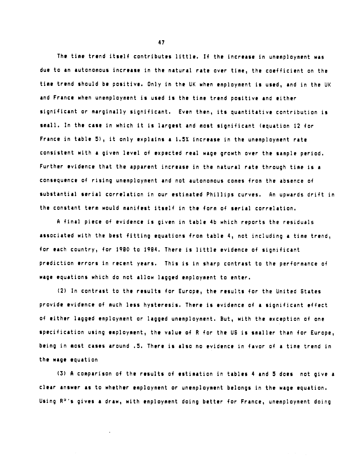The time trend itself contributes little. If the increase in unemployment was due to an autonomous increase in the natural rate over time, the coefficient on the time trend should be positive. Only in the UK when employment is used, and in the UK and France when unemployment is used is the time trend positive and either significant or marginally significant. Even then, Its quantitative contribution is small. In the case in which it is largest and most significant (equation 12 for France in table 5), it only explains a i.5X increase in the unemployment rate consistent with a given level of expected real wage growth over the sample period. Further evidence that the apparent increase in the natural rate through time is a consequence of rising unemployment and not autonomous comes from the absence of substantial serial correlation in our estimated Phillips curves. An upwards drift in the constant term would manifest itself in the form of serial correlation.

A final piece of evidence is given in table 4b which reports the residuals associated with the best fitting equations from table 4, not including a time trend, for each country, for 1980 to 19B4. There is little evidence of significant prediction errors in recent years. This is in sharp contrast to the performance of wage equations which do not allow lagged employment to enter.

(2) In contrast to the results for Europe, the results for the United States provide evidence of much less hysteresis. There is evidence of a significant effect of either lagged employment or lagged unemployment. But, with the exception of one specification using employment, the value of R for the US is smaller than for Europe, being in most cases around .5. There is also no evidence in favor of a time trend in the wage equation

(3) A comparison of the results of estimation in tables 4 and 5 does not give a clear answer as to whether employment or unemployment belongs in the wage equation. Using R2's gives a draw, with employment doing better for France, unemployment doing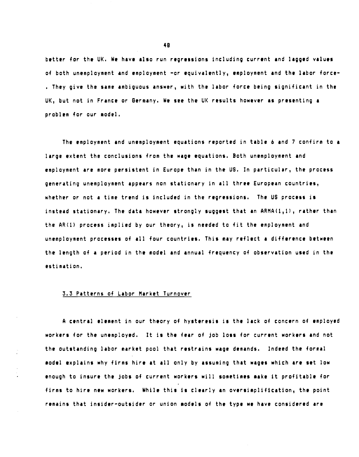better for the UK. We have also run regressions Including current and lagged values of both unemployment and employment -or equivalently, employment and the labor force-• They give the same ambiguous answer, with the labor force being significant in the UK, but not in France or Germany. We see the UK results however as presenting a problem for our model.

The employment and unemployment equations reported in table 6 and 7 confirm to a large extent the conclusions from the wage equations. Both unemployment and employment are more persistent in Europe than in the US. In particular, the process generating unemployment appears non stationary in all three European countries, whether or not a time trend is Included in the regressions. The US process is instead stationary. The data however strongly suggest that an ARMA(l,l) , rather than the AR(1) process implied by our theory, is needed to fit the employment and unemployment processes of all four countries. This may reflect a difference between the length of a period in the model and annual frequency of observation used in the estimation.

### 3.3 Patterns of Labor Market Turnover

A central element in our theory of hysteresis is the lack of concern of employed workers for the unemployed. It Is the fear of job loss for current workers and not the outstanding labor market pool that restrains wage demands. Indeed the formal model explains why firms hire at all only by assuming that wages which are set low enough to insure the jobs of current workers will sometimes make It profitable for firms to hire new workers. While this is clearly an oversimplification, the point remains that insider—outsider or union models of the type we have considered are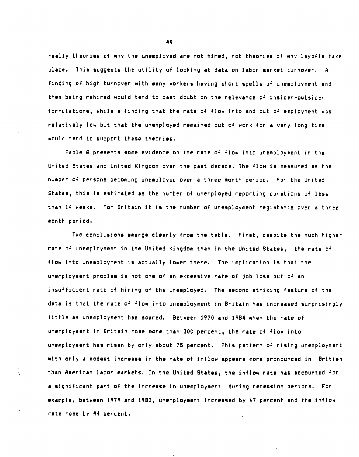really theories of why the unemployed are not hired, not theories of why layoffs take place. This suggests the utility of looking at data on labor market turnover. <sup>A</sup> finding of high turnover with many workers having short spells of unemployment and then being rehired would tend to cast doubt on the relevance of insider—outsider formulations, while a finding that the rate of flow into and out of employment was relatively low but that the unemployed remained out of work for a very long time would tend to support these theories.

Table 8 presents some evidence on the rate of flow into unemployment in the United States and United Kingdom over the past decade. The flow is measured as the number o4 persons becoming unemployed over a three month period. For the United States, this is estimated as the number of unemployed reporting durations of less than 14 weeks. For Britain it is the number of unemployment registants over a three month period.

Two conclusions emerge clearly from the table. First, despite the much higher rate of unemployment in the United Kingdom than in the United States, the rate of flow into unemployment is actually lower there. The implication is that the unemployment problem is not one of an excessive rate of job loss but of an insufficient rate of hiring of the unemployed. The second striking feature of the data is that the rate of flow into unemployment in Britain has increased surprisingly little as unemployment has soared. Between 1970 and 19B4 when the rate of unemployment in Britain rose more than 00 percent, the rate of flow into unemployment has risen by only about 75 percent. This pattern of rising unenployment with only a modest Increase in the rate of Inflow appears more pronounced in British than American labor markets. In the United States, the inflow rate has accounted for a significant part of the increase in unemployment during recession periods. For example, between 1979 and 1982, unemployment increased by 67 percent and the inflow rate rose by 44 percent.

÷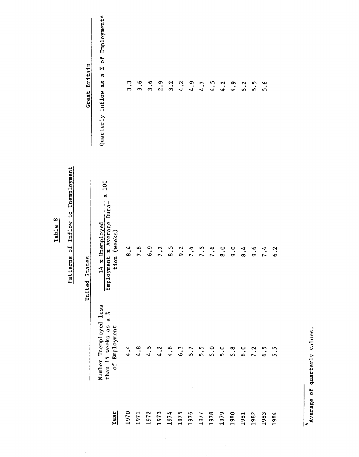| Number Unemployed less<br>than 14 weeks as a %<br>of Employment<br>4.4<br>4.8<br>4.5<br>4.8<br>4.2<br>5.8<br>6.3<br>5.5<br>5.0<br>5.0<br>6.0<br>5.7<br>6.5<br>7.2<br>Year<br>1970<br>1972<br>1973<br>1976<br>1971<br>1974<br>1975<br>1978<br>1979<br>1977<br>1980<br>1982<br>1983<br>1981 | United States                                                               | <b>Great Britain</b>                                               |
|-------------------------------------------------------------------------------------------------------------------------------------------------------------------------------------------------------------------------------------------------------------------------------------------|-----------------------------------------------------------------------------|--------------------------------------------------------------------|
|                                                                                                                                                                                                                                                                                           | 100<br>Employment x Average Dura-<br>$14 \times$ Unemployed<br>tion (weeks) | Employment*<br>of<br>×<br>$\mathfrak{a}$<br>as<br>Quarterly Inflow |
|                                                                                                                                                                                                                                                                                           | 8.4                                                                         | 3.3                                                                |
|                                                                                                                                                                                                                                                                                           | 7.8                                                                         | 3.6                                                                |
|                                                                                                                                                                                                                                                                                           | 6.9                                                                         | 3.6                                                                |
|                                                                                                                                                                                                                                                                                           | 7.2                                                                         | 2.9                                                                |
|                                                                                                                                                                                                                                                                                           | 8.5                                                                         | 3.2                                                                |
|                                                                                                                                                                                                                                                                                           | 9.2                                                                         | 4.2                                                                |
|                                                                                                                                                                                                                                                                                           | 7.4                                                                         | 4.9                                                                |
|                                                                                                                                                                                                                                                                                           | 7.5                                                                         | 4.7                                                                |
|                                                                                                                                                                                                                                                                                           | 7.6                                                                         | 4.5                                                                |
|                                                                                                                                                                                                                                                                                           | $\overline{8}$ .0                                                           | 4.2                                                                |
|                                                                                                                                                                                                                                                                                           | 9.0                                                                         | 4.9                                                                |
|                                                                                                                                                                                                                                                                                           | 8.4                                                                         | 5.2                                                                |
|                                                                                                                                                                                                                                                                                           | 9.6                                                                         | 5.5                                                                |
|                                                                                                                                                                                                                                                                                           | 7.4                                                                         | 5.6                                                                |
| 5.5<br>1984                                                                                                                                                                                                                                                                               | 6.2                                                                         |                                                                    |

 $\ddot{\phantom{0}}$ 

 $\mathcal{A}^{\mathcal{A}}$ 

Table 8

Patterns of Inflow to Unemployment

\* Average of quarterly values. Average of quarterly values.

 $\hat{\boldsymbol{\gamma}}$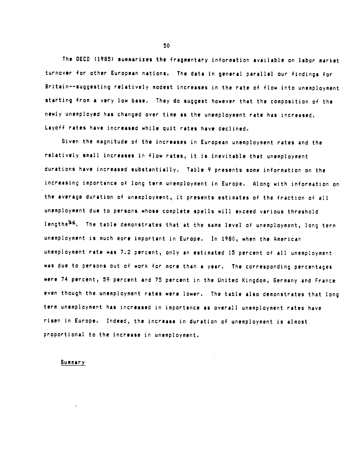The OECD (1995) summarizes the fragmentary information available on labor market turnover for other European nations. The data in general parallel our findings for Britain——suggesting relatively modest increases in the rate of flow into unemployment starting from a very low base. They do suggest however that the composition of the newly unemployed has changed over time as the unemployment rate has increased. Layoff rates have increased while quit rates have declined.

Given the magnitude of the increases in European unemployment rates and the relatively small increases in flow rates, it is inevitable that unemployment durations have increased substantially. Table 9 presents some information on the increasing importance of long term unemployment in Europe. Along with information on the average duration of unemployment, it presents estimates of the fraction of all unemployment due to persons whose complete spells will exceed various threshold lengths<sup>34</sup>. The table demonstrates that at the same level of unemployment, long term unemployment is much more important in Europe. In 1980, when the American unemployment rate was 7.2 percent, only an estimated 15 percent of all unemployment was due to persons out of work for more than a year. The corresponding percentages were 74 percent, 59 percent and 75 percent in the United Kingdom, Germany and France even though the unemployment rates were lower. The table also demonstrates that long term unemployment has increased in importance as overall unemployment rates have risen in Europe. Indeed, the increase in duration of unemployment is almost proportional to the increase in unemployment.

### Summary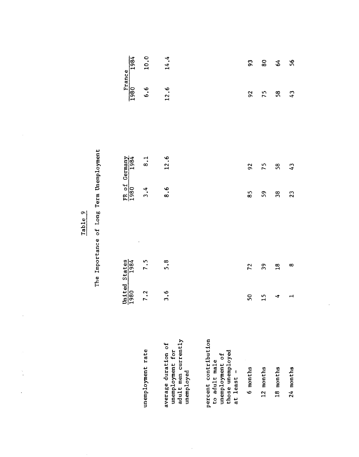$\tilde{\mathcal{A}}$ 

 $\ddot{\phantom{0}}$ 

 $\frac{1}{2}$ 

 $\frac{1}{\sqrt{2}}$ 

The Importance of Long Term Unemployment The Importance of Long Term Unemployment

|                                                                                              | United States<br>1980 | 1984     | $\frac{1980}{1}$ | FR of Germany<br>1984 | France<br>1980 | 1984      |
|----------------------------------------------------------------------------------------------|-----------------------|----------|------------------|-----------------------|----------------|-----------|
| unemployment rate                                                                            | 7.2                   |          | 3.4              | $\frac{1}{8}$         | ه.<br>ه        | 10.0      |
| adult men currently<br>average duration of<br>unemployment for<br>unemployed                 | 3, 6                  | 5.8      | $\frac{6}{8}$    | 12.6                  | 12.6           | 14.4      |
| percent contribution<br>to adult male<br>those unemployed<br>unemployment of<br>at least $-$ |                       |          |                  |                       |                |           |
| 6 months                                                                                     | SO                    | 72       | 85               | $\overline{9}$        | 92             | ვე        |
| 12 months                                                                                    | $\overline{15}$       | 39       | SQ               | 75                    | 75             | $\bf{80}$ |
| 18 months                                                                                    | ₹                     | 18       | 38               | 58                    | 58             | 54        |
| 24 months                                                                                    |                       | $\infty$ | 23               | $\mathbf{5}$          | $\frac{1}{4}$  | 56        |

 $\hat{\mathcal{A}}$ 

 $\ddot{\phantom{0}}$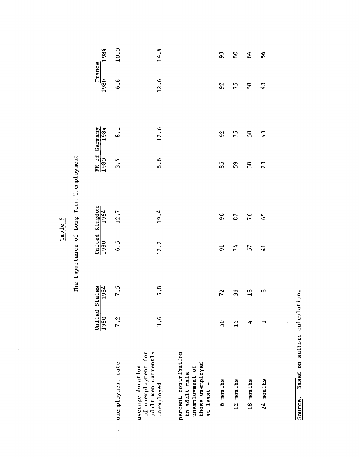| г  |  |
|----|--|
| C. |  |
|    |  |
| гa |  |
|    |  |

 $\ddot{\phantom{0}}$ 

# The Importance of Long Term Unemployment The Importance of Long Term Unemployment

 $\hat{\mathcal{A}}$ 

| 1984                        | 10.0              | 14.4                                                                         |                                                                                            | 50             | $80$      | 64            | 56             |
|-----------------------------|-------------------|------------------------------------------------------------------------------|--------------------------------------------------------------------------------------------|----------------|-----------|---------------|----------------|
| France<br>1980              | 6.6               | 12.6                                                                         |                                                                                            | $\overline{9}$ | 75        | 58            | $\frac{3}{4}$  |
| 1984<br>FR of Germany       | $\frac{1}{8}$     | 12.6                                                                         |                                                                                            | 92             | 75        | 58            | 43             |
| $\frac{1980}{1}$            | 3.4               | $\frac{6}{3}$                                                                |                                                                                            | 85             | 59        | 38            | 23             |
|                             |                   |                                                                              |                                                                                            |                |           |               |                |
| United Kingdom<br>1980 1984 | 12.7              | 19.4                                                                         |                                                                                            | 96             | 87        | 76            | 65             |
|                             | 6.5               | 12.2                                                                         |                                                                                            | 51             | 74        | 57            | $\overline{4}$ |
| 1984                        | 7.5               | $\frac{8}{2}$                                                                |                                                                                            | 72             | 39        | $\frac{8}{1}$ | $\infty$       |
| United States               |                   |                                                                              |                                                                                            |                |           |               |                |
| $\frac{1980}{1980}$         | 7.2               | .<br>ი<br>ო                                                                  |                                                                                            | 50             | 15        | 寸             |                |
|                             | unemployment rate | adult men currently<br>of unemployment for<br>average duration<br>unemployed | percent contribution<br>those unemployed<br>unemployment of<br>to adult male<br>at least - | 6 months       | 12 months | 18 months     | 24 months      |

Source. Based on authors calculation. Source. Based on authors calculation.

 $\hat{\boldsymbol{\beta}}$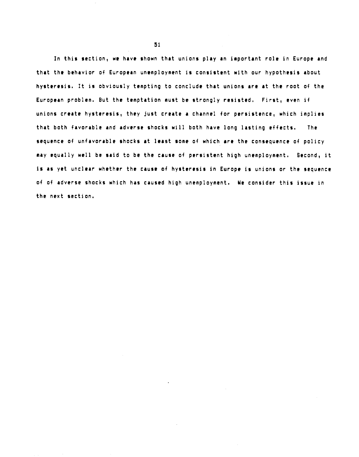In this section, we have shown that unions play an important role in Europe and that the behavior of European unemployment is consistent with our hypothesis about hysteresis. It is obviously tempting to conclude that unions are at the root of the European problem. But the temptation must be strongly resisted. First, even if unions create hysteresis, they just create a channel for persistence, which implies that both favorable and adverse shocks will both have long lasting effects. The sequence of unfavorable shocks at least some of which are the consequence of policy may equally well be said to be the cause of persistent high unemployment. Second, it is as yet unclear whether the cause of hysteresis in Europe is unions or the sequence of of adverse shocks which has caused high unemployment. We consider this issue in the next section.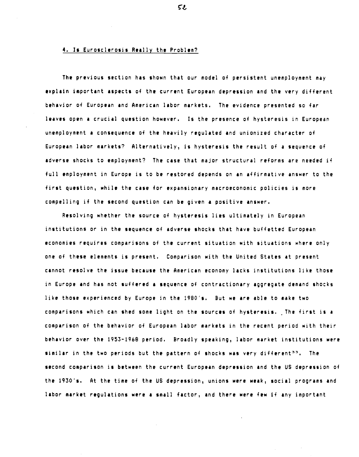### 4. Is Eurosclerosis Really the Problem?

The previous section has shown that our model of persistent unemployment may explain important aspects of the current European depression and the very different behavior of European and American labor markets. The evidence presented so far leaves open a crucial question however. Is the presence of hysteresis in European unemployment a consequence of the heavily regulated and unionized character of European labor markets? Alternatively, is hysteresis the result of a sequence of adverse shocks to employment? The case that major structural reforms are needed if full employment in Europe is to be restored depends on an affirmative answer to the first question, while the case for expansionary macroeconomic policies is more compelling if the second question can be given a positive answer.

Resolving whether the source of hysteresis lies ultimately in European institutions or in the sequence of adverse shocks that have buffetted European economies requires comparisons of the current situation with situations where only one of these elements is present. Comparison with the United States at present cannot resolve the issue because the American economy lacks institutions like those in Europe and has not suffered a sequence of contractionary aggregate demand shocks like those experienced by Europe in the 1980's. But we are able to make two comparisons which can shed some light on the sources of hysteresis. The first is a comparison of the behavior of European labor markets in the recent period with their behavior over the 1953—1968 period. Broadly speaking, labor market institutions were similar in the two periods but the pattern of shocks was very different<sup>33</sup>. The second comparison is between the current European depression and the US depression of the 1930's. At the time of the US depression, unions were weak, social programs and labor market regulations were a small factor, and there were few 14 any important

c..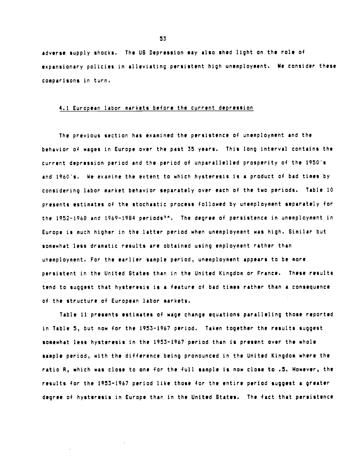adverse supply shocks. The US Depression may also shed light on the role of expansionary policies in alleviating persistent high unemployment. We consider these comparisons in turn.

### 4.1 European labor markets before the current depression

The previous section has examined the persistence of unemployment and the behavior of wages in Europe over the past 35 years. This long interval contains the current depression period and the period of unparallelled prosperity of the 1950's and 1960's. We examine the extent to which hysteresis is a product of bad times by considering labor market behavior separately over each of the two periods. Table 10 presents estimates of the stochastic process followed by unemployment separately for the 1952—1968 and 1969—19B4 periods54. The degree of persistence in unemployment in Europe is much higher in the latter period when unemployment was high. Similar but somewhat less dramatic results are obtained using employment rather than unemployment. For the earlier sample period, unemployment appears to be more persistent in the United States than in the United Kingdom or France. These results tend to suggest that hysteresis is a feature of bad times rather than a consequence of the structure of European labor markets.

Table 11 presents estimates of wage change equations paralleling those reported in Table 5, but now for the 1953—1967 period. Taken together the results suggest somewhat less hysteresis in the 1953-1967 period than is present over the whole sample period, with the difference being pronounced in the United Kingdom where the ratio R, which was close to one for the full sample Is now close to .5. However, the results for the 1953—1967 period like those for the entire period suggest a greater degree of hysteresis in Europe than in the United States. The fact that persistence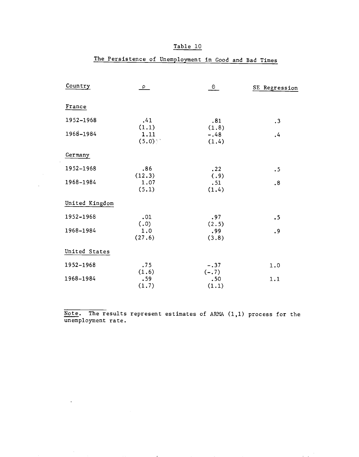| Country        | $\rho$        | $\theta$          | SE Regression          |
|----------------|---------------|-------------------|------------------------|
| France         |               |                   |                        |
| 1952-1968      | .41<br>(1.1)  | .81<br>(1.8)      | $\cdot$ 3              |
| 1968-1984      | 1.11<br>(5.0) | $-.48$<br>(1.4)   | $\cdot$ 4              |
| Germany        |               |                   |                        |
| 1952-1968      | .86<br>(12.3) | .22<br>(.9)       | .5                     |
| 1968-1984      | 1.07<br>(5.1) | .51<br>(1.4)      | $\boldsymbol{\cdot}$ 8 |
| United Kingdom |               |                   |                        |
| 1952-1968      | .01<br>(.0)   | .97<br>(2.5)      | .5                     |
| 1968-1984      | 1.0<br>(27.6) | .99<br>(3.8)      | .9                     |
| United States  |               |                   |                        |
| 1952-1968      | .75<br>(1.6)  | $-.37$<br>$(-.7)$ | 1.0                    |
| 1968-1984      | .59<br>(1.7)  | .50<br>(1.1)      | 1.1                    |

 $\mathbb{Z}^2$ 

 $\Delta \sim 10^4$ 

### The Persistence of Unemployment in Good and Bad Times

Note. The results represent estimates of ARNA (1,1) process for the unemployment rate.

### Table 10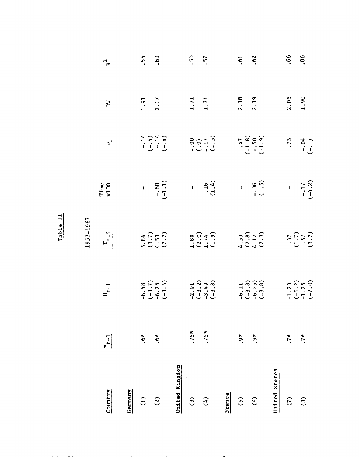| α                |  |
|------------------|--|
| $\overline{\Xi}$ |  |

المناسبة.<br>المناسبة المستوفية المناسبة المناسبة.

| с           |
|-------------|
| J           |
| с<br>١      |
| ᅯ<br>٠      |
|             |
| c<br>۱      |
| ι<br>۰<br>١ |
| ο<br>١      |
| ⊣           |

|                |                      |                                                                     | 1953-1967                                                     |                                                                                                                                                                                                                                          |                                                                           |                  |                    |
|----------------|----------------------|---------------------------------------------------------------------|---------------------------------------------------------------|------------------------------------------------------------------------------------------------------------------------------------------------------------------------------------------------------------------------------------------|---------------------------------------------------------------------------|------------------|--------------------|
|                | $T_{t-1}$            | $\frac{U_{t-1}}{U}$                                                 | $v_{t-2}$                                                     | $\frac{1}{2}$                                                                                                                                                                                                                            | $\mathsf{a}\big\vert$                                                     | 회                | $\frac{2}{\kappa}$ |
|                |                      |                                                                     |                                                               |                                                                                                                                                                                                                                          |                                                                           |                  |                    |
|                | $\ddot{\cdot}9$ .    |                                                                     |                                                               |                                                                                                                                                                                                                                          |                                                                           |                  |                    |
|                | $\ddot{\phantom{0}}$ | $\begin{array}{c} -6.48 \\ (-3.7) \\ -6.25 \end{array}$<br>$(-3.7)$ | $\begin{array}{c} 5.86 \\ (3.7) \\ 4.53 \\ (2.2) \end{array}$ | $\begin{bmatrix} -1.60 \\ -1.1 \end{bmatrix}$<br>$\begin{bmatrix} 1.6 \\ 1.4 \end{bmatrix}$<br>$\begin{bmatrix} 1.6 \\ -1.3 \end{bmatrix}$<br>$\begin{bmatrix} 0.9 \\ -1.1 \end{bmatrix}$<br>$\begin{bmatrix} 0.9 \\ -1.1 \end{bmatrix}$ | $-14$<br>$(-4)$<br>$-14$<br>$(-4)$                                        | $1.91$<br>$2.07$ | .55                |
| United Kingdom |                      |                                                                     |                                                               |                                                                                                                                                                                                                                          |                                                                           |                  |                    |
|                | $.75*$               |                                                                     |                                                               |                                                                                                                                                                                                                                          |                                                                           | $1.71$<br>$1.71$ | .50                |
|                | $75*$                | $-2.91$<br>$(-3.2)$<br>$(-3.49$<br>$(-3.8)$                         | $1.89$<br>(2.0)<br>$1.74$<br>(1.9)                            |                                                                                                                                                                                                                                          | $(1, 0)$<br>$(-1, 5)$<br>$(-1, 5)$<br>$(-1, 5)$<br>$(-1, 5)$<br>$(-1, 5)$ |                  |                    |
|                |                      |                                                                     |                                                               |                                                                                                                                                                                                                                          |                                                                           |                  |                    |
|                | $\frac{1}{2}$        |                                                                     |                                                               |                                                                                                                                                                                                                                          |                                                                           | $2.18$<br>$2.19$ | $-62$              |
|                | $\ddot{\circ}$       | $\begin{array}{c} -6.11 \\ (-3.8) \\ -6.25 \end{array}$<br>$(-3.8)$ | $\begin{array}{c} 4.53 \\ (2.8) \\ 4.12 \\ (2.3) \end{array}$ |                                                                                                                                                                                                                                          |                                                                           |                  |                    |
| United States  |                      |                                                                     |                                                               |                                                                                                                                                                                                                                          |                                                                           |                  |                    |
|                | $\tilde{z}$          |                                                                     |                                                               |                                                                                                                                                                                                                                          |                                                                           | $2.05$<br>1.90   | .66                |
|                | $.7*$                | $\begin{array}{c} -1.23 \\ (-5.2) \\ -1.25 \end{array}$             | $\begin{array}{c} .37 \\ .57 \\ .57 \end{array}$              |                                                                                                                                                                                                                                          | $.73$<br>$-04$<br>$(-.1)$                                                 |                  |                    |
|                |                      |                                                                     |                                                               |                                                                                                                                                                                                                                          |                                                                           |                  |                    |
|                |                      |                                                                     |                                                               |                                                                                                                                                                                                                                          |                                                                           |                  |                    |
|                |                      |                                                                     |                                                               |                                                                                                                                                                                                                                          |                                                                           |                  |                    |

 $\label{eq:2} \frac{1}{\sqrt{2}}\sum_{i=1}^n\frac{1}{\sqrt{2}}\sum_{j=1}^n\frac{1}{\sqrt{2}}\sum_{j=1}^n\frac{1}{\sqrt{2}}\sum_{j=1}^n\frac{1}{\sqrt{2}}\sum_{j=1}^n\frac{1}{\sqrt{2}}\sum_{j=1}^n\frac{1}{\sqrt{2}}\sum_{j=1}^n\frac{1}{\sqrt{2}}\sum_{j=1}^n\frac{1}{\sqrt{2}}\sum_{j=1}^n\frac{1}{\sqrt{2}}\sum_{j=1}^n\frac{1}{\sqrt{2}}\sum_{j=1}^n\frac{1$ 

3. 이 사이에 대한 기술을 받아 있는 것이 있다.

 $\sim$   $\sim$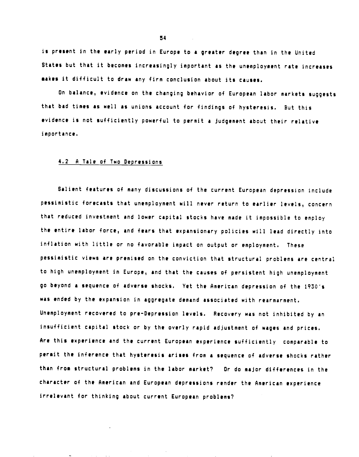is present in the early period in Europe to a greater degree than in the United States but that it becomes increasingly important as the unemployment rate increases makes it difficult to draw any firm conclusion about its causes.

On balance, evidence on the changing behavior of European labor markets suggests that bad times as well as unions account for findings of hysteresis. But this evidence is not sufficiently powerful to permit a judgement about their relative importance.

## 4.2 A Tale of Two Depressions

Salient features of many discussions of the current European depression include pessimistic forecasts that unemployment will never return to earlier levels, concern that reduced investment and lower capital stocks have made it impossible to employ the entire labor force, and fears that expansionary policies will lead directly into inflation with little or no favorable impact on output or employment. These pessimistic views are premised on the conviction that structural problems are central to high unemployment in Europe, and that the causes of persistent high unemployment go beyond a sequence of adverse shocks. Yet the American depression of the 1930's was ended by the expansion in aggregate demand associated with rearmarment. Unemployment recovered to pre—Depression levels. Recovery was not inhibited by an insufficient capital stock or by the overly rapid adjustment of wages and prices. Are this experience and the current European experience sufficiently comparable to permit the inference that hysteresis arises from a sequence of adverse shocks rather than from structural problems in the labor market? Dr do major differences in the character of the American and European depressions render the American experience irrelevant for thinking about current European problems?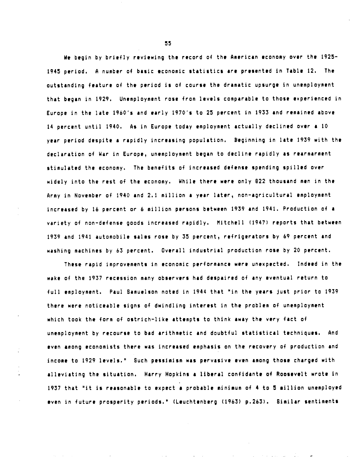We begin by briefly reviewing the record of the American economy over the 1925— 1945 period. A number of basic economic statistics are presented in Table 12. The outstanding feature of the period is of course the dramatic upsurge in unemployment that began in 1929. Unemployment rose from levels comparable to those experienced in Europe in the late 1960's and early 1970's to 25 percent in 1933 and remained above 14 percent until 1940. As in Europe today employment actually declined over a 10 year period despite a rapidly increasing population. Beginning in late 1939 with the declaration of War in Europe, unemployment began to decline rapidly as rearmarment stimulated the economy. The benefits of Increased defense spending spilled over widely into the rest of the economy. While there were only 822 thousand men in the Army in November of 1940 and 2.1 million a year later, non—agricultural employment increased by 16 percent or 6 million persons between 1939 and 1941. Production of a variety of non-defense goods increased rapidly. Mitchell (1947) reports that between 1939 and 1941 automobile sales rose by 35 percent, refrigerators by 69 percent and washing machines by 63 percent. Overall industrial production rose by 20 percent.

These rapid improvements in economic performance were unexpected. Indeed in the wake of the 1937 recession many observers had despaired of any eventual return to full employment. Paul Samuelson noted in 1944 that "in the years just prior to 1939 there were noticeable signs of dwindling interest in the problem of unemployment which took the form of ostrich—like attempts to think away the very fact of unemployment by recourse to bad arithmetic and doubtful statistical techniques. And even among economists there was increased emphasis on the recovery of production and income to 1929 levels." Such pessimism was pervasive even among those charged with alleviating the situation. Harry Hopkins a liberal confidante of Roosevelt wrote in 1937 that "it is reasonable to expect a probable minimum of 4 to S million unemployed even in future prosperity periods." (Leuchtenberg (1963) p.263). Similar sentiments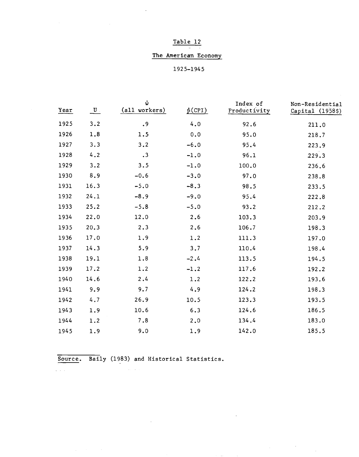# Table 12

 $\sim$   $\sim$ 

# The American Economy

192 5—194 5

| Year | $\frac{U}{\sqrt{2}}$ | ŵ<br>(all workers) | p(CPI) | Index of<br>Productivity | Non-Residential<br>Capital (1958\$) |
|------|----------------------|--------------------|--------|--------------------------|-------------------------------------|
| 1925 | 3.2                  | .9                 | 4.0    | 92.6                     | 211.0                               |
| 1926 | 1.8                  | 1.5                | 0.0    | 95.0                     | 218.7                               |
| 1927 | 3.3                  | 3.2                | $-6.0$ | 95.4                     | 223.9                               |
| 1928 | 4.2                  | $\cdot$ 3          | $-1.0$ | 96.1                     | 229.3                               |
| 1929 | 3.2                  | 3.5                | $-1.0$ | 100.0                    | 236.6                               |
| 1930 | 8.9                  | $-0.6$             | $-3.0$ | 97.0                     | 238.8                               |
| 1931 | 16.3                 | $-5.0$             | $-8.3$ | 98.5                     | 233.5                               |
| 1932 | 24.1                 | $-8.9$             | $-9.0$ | 95.4                     | 222.8                               |
| 1933 | 25.2                 | $-5.8$             | $-5.0$ | 93.2                     | 212.2                               |
| 1934 | 22.0                 | 12.0               | 2.6    | 103.3                    | 203.9                               |
| 1935 | 20.3                 | 2.3                | 2.6    | 106.7                    | 198.3                               |
| 1936 | 17.0                 | 1.9                | 1.2    | 111.3                    | 197.0                               |
| 1937 | 14.3                 | 5.9                | 3.7    | 110.4                    | 198.4                               |
| 1938 | 19.1                 | 1.8                | $-2.4$ | 113.5                    | 194.5                               |
| 1939 | 17.2                 | 1.2                | $-1.2$ | 117.6                    | 192.2                               |
| 1940 | 14.6                 | 2.4                | 1.2    | 122.2                    | 193.6                               |
| 1941 | 9.9                  | 9.7                | 4.9    | 124.2                    | 198.3                               |
| 1942 | 4.7                  | 26.9               | 10.5   | 123.3                    | 193.5                               |
| 1943 | 1.9                  | 10.6               | 6.3    | 124.6                    | 186.5                               |
| 1944 | 1.2                  | 7.8                | 2.0    | 134.4                    | 183.0                               |
| 1945 | 1.9                  | 9.0                | 1.9    | 142.0                    | 185.5                               |

 $\label{eq:2.1} \frac{1}{2} \int_{\mathbb{R}^3} \frac{1}{\sqrt{2}} \, \frac{1}{\sqrt{2}} \, \frac{1}{\sqrt{2}} \, \frac{1}{\sqrt{2}} \, \frac{1}{\sqrt{2}} \, \frac{1}{\sqrt{2}} \, \frac{1}{\sqrt{2}} \, \frac{1}{\sqrt{2}} \, \frac{1}{\sqrt{2}} \, \frac{1}{\sqrt{2}} \, \frac{1}{\sqrt{2}} \, \frac{1}{\sqrt{2}} \, \frac{1}{\sqrt{2}} \, \frac{1}{\sqrt{2}} \, \frac{1}{\sqrt{2}} \, \frac{1}{\sqrt{2}} \,$ 

Source. Baily (1983) and Historical Statistics.

 $\sim$ 

 $\hat{z}$  ,  $\hat{z}$  ,  $\hat{z}$ 

 $\label{eq:2.1} \frac{1}{\sqrt{2\pi}}\int_{\mathbb{R}^{2}}\left|\frac{d\mathbf{r}}{d\mathbf{r}}\right|^{2}d\mathbf{r}^{2}d\mathbf{r}^{2}d\mathbf{r}^{2}d\mathbf{r}^{2}d\mathbf{r}^{2}d\mathbf{r}^{2}d\mathbf{r}^{2}d\mathbf{r}^{2}d\mathbf{r}^{2}d\mathbf{r}^{2}d\mathbf{r}^{2}d\mathbf{r}^{2}d\mathbf{r}^{2}d\mathbf{r}^{2}d\mathbf{r}^{2}d\mathbf{r}^{2}d$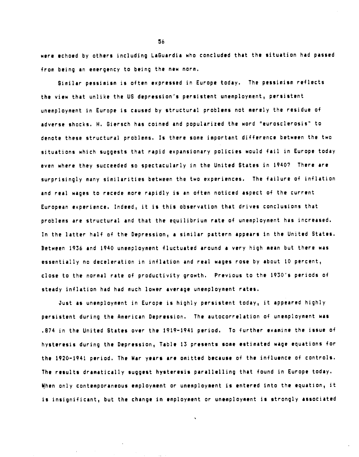were echoed by others including LaGuardia who concluded that the situation had passed from being an emergency to being the new norm.

Similar pessimism is often expressed in Europe today. The pessimism reflects the view that unlike the US depression's persistent unemployment, persistent unemployment in Europe is caused by structural problems not merely the residue of adverse shocks. H. Giersch has coined and popularized the word "euroscierosis" to denote these structural problems. Is there some important difference between the two situations which suggests that rapid expansionary policies would fail in Europe today even where they succeeded so spectacularly in the United States in 1940? There are surprisingly many similarities between the two experiences. The failure of inflation and real wages to recede more rapidly is an often noticed aspect of the current European experience. Indeed, it Is this observation that drives conclusions that problems are structural and that the equilibrium rate of unemployment has increased. In the latter half of the Depression, a similar pattern appears in the United States. Between 1936 and 1940 unemployment fluctuated around a very high mean but there was essentially no deceleration in inflation and real wages rose by about 10 percent, close to the normal rate of productivity growth. Previous to the 1930's periods of steady inflation had had much lower average unemployment rates.

Just as unemployment in Europe is highly persistent today, it appeared highly persistent during the American Depression. The autocorrelation of unemployment was .874 in the United States over the 1919—1941 period. To further examine the issue of hysteresis during the Depression, Table 13 presents some estimated wage equations for the 1920—1941 period. The War years are omitted because of the influence of controls. The results dramatically suggest hysteresis parallelling that found in Europe today. When only contemporaneous employment or unemployment is entered into the equation, it is insignificant, but the change in employment or unemployment is strongly associated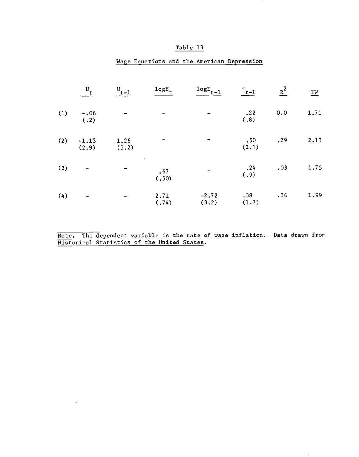|     | $\mathbf{u}_{\mathbf{t}}$ | $v_{t-1}$                   | $log E_t$     | $logE_{t-1}$             | $\mathrm{t}-1$ | $R^2$ | $\underline{\mathbf{D}}\underline{\mathbf{W}}$ |
|-----|---------------------------|-----------------------------|---------------|--------------------------|----------------|-------|------------------------------------------------|
| (1) | $-.06$<br>(.2)            |                             |               | $\overline{\phantom{a}}$ | .22<br>(.8)    | 0.0   | 1.71                                           |
| (2) | $-1.13$<br>(2.9)          | 1.26<br>(3.2)               |               |                          | .50<br>(2.1)   | .29   | 2.13                                           |
| (3) |                           | $\bullet$<br>$\blacksquare$ | .67<br>(.50)  | $\overline{\phantom{a}}$ | .24<br>(.9)    | .03   | 1.75                                           |
| (4) |                           |                             | 2.71<br>(.74) | $-2.72$<br>(3.2)         | .38<br>(1.7)   | .36   | 1.99                                           |

## Table 13

# Wage Equations and the American Depression

Note. The dependent variable is the rate of wage inflation. Data drawn from Historical Statistics of the United States.

 $\ddot{\phantom{a}}$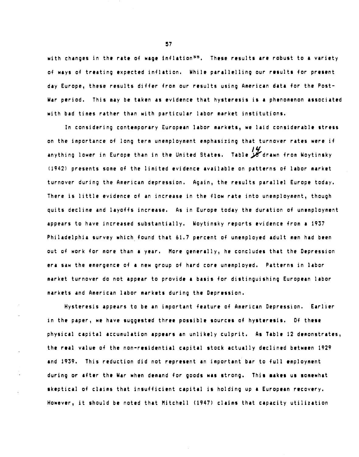with changes in the rate of wage inflation<sup>35</sup>. These results are robust to a variety of ways of treating expected inflation. While parallelling our results for present day Europe, these results differ from our results using American data for the Post-War period. This may be taken as evidence that hysteresis is a phenomenon associated with bad times rather than with particular labor market institutions.

In considering contemporary European labor markets, we laid considerable stress on the importance of long term unemployment emphasizing that turnover rates were if anything lower in Europe than in the United States. Table thawn from Woytinsky (1942) presents some of the limited evidence available on patterns of labor market turnover during the American depression. Again, the results parallel Europe today. There is little evidence of an increase in the flow rate into unemployment, though quits decline and layoffs increase. As in Europe today the duration of unemployment appears to have increased substantially. Woytineky reports evidence from a 1937 Philadelphia survey which found that 61.7 percent of unemployed adult men had been out of work for more than a year. More generally, he concludes that the Depression era saw the emergence of a new group of hard core unemployed. Patterns in labor market turnover do not appear to provide a basis for distinguishing European labor markets and American labor markets during the Depression.

Hysteresis appears to be an important feature of American Depression. Earlier in the paper, we have suggested three possible sources of hysteresis. Of these physical capital accumulation appears an unlikely culprit. As Table 12 demonstrates, the real value of the non—residential capital stock actually declined between 1929 and 1939. This reduction did not represent an important bar to full employment during or after the War when demand for goods was strong. This makes us somewhat skeptical of claims that insufficient capital is holding up a European recovery. However, it should be noted that Mitchell (1947) claims that capacity utilization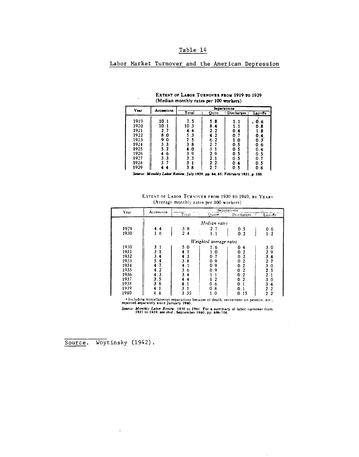Labor Market Turnover and the American Depression

| Year | Accessions | <b>Separations</b> |           |            |         |  |
|------|------------|--------------------|-----------|------------|---------|--|
|      |            | Total              | Quits     | Discharges | Layoffs |  |
| 1919 | 10.1       | 7. S               | 5.8       |            | 0.6     |  |
| 1920 | 10.1       | 10.3               | 8.4       |            | 0.8     |  |
| 1921 | 2.7        | 4.4                | 22        | 0.4        | . 8     |  |
| 1922 | 8.0        | 53                 |           | 0.7        | 0.4     |  |
| 1923 | 90         | 75                 | . 2<br>6. | 1.0        | 0.3     |  |
| 1924 | 3.3        | 38                 | 2.7       | 0.5        | 0.6     |  |
| 1925 | 5.2        | 40                 | 3.1       | 0.5        | 0.4     |  |
| 1926 | 4.6        | 3.9                | 2.9       | 0.5        | 0.5     |  |
| 1927 | 3.3        | 3.3                | 2.1       | 0.5        | 0.7     |  |
| 1928 | 3.7        | 3.1                | 2.2       | 0.4        | 0.5     |  |
| 1929 |            | 3.8                | 2.7       | 0.5        | 0.6     |  |

EXTENT OF LABOR TURNOVER FROM 1919 ro 1929 (Median monthly rates per 100 workers)

Source: Monthly Labor Review, July 1929, pp. 64, 65; February 1931, p. 105.

EXTENT OF LABOR TURNOVER FROM 1930 TO 1940, BY YEARS (Average monthly rates per 100 workers)

| Year | Accessions | Separations |                        |                   |                |  |
|------|------------|-------------|------------------------|-------------------|----------------|--|
|      |            | Total       | Quits.                 | <b>Discharges</b> | Layeffs        |  |
|      |            |             | Median rates           |                   |                |  |
| 1929 | 4.4        | 3.8         | 2.7                    | 0.5               | 0 <sub>6</sub> |  |
| 1930 | 1.6        | 2.4         | 1.1                    | 0.2               | 1.2            |  |
|      |            |             | Weighted average rates |                   |                |  |
| 1930 | 3.1        | 5.0         | 1.6                    | 0.4               | 3.0            |  |
| 1931 | 3.1        | 4.1         | 1.0                    | 0.2               | 2.9            |  |
| 1932 | 3.4        | 4.3         | 0.7                    | 0.2               | 3.4            |  |
| 1933 | 5.4        | 3.8         | 0.9                    | 0.2               | 2.7            |  |
| 1934 | 4.7        | 4.1         | 09                     | 0.2               | 3.0            |  |
| 1935 | 4.2        | 3.6         | 0.9                    | 0.2               | 2.5            |  |
| 1936 | 4.3        | 3.4         | 1.1                    | 0.2               | 2.1            |  |
| 1937 | 3.5        | 4.4         | 1.2                    | 0.2               | 3.0            |  |
| 1938 | 3.8        | 4.1         | 06                     | 0.1               | 3.4            |  |
| 1939 | 4.1        | 3.1         | 0.8                    | 0.1               | 2.2            |  |
| 1940 | 4.4        | 3<br>35     | 1.0                    | 0.15              | 2 <sub>2</sub> |  |

Including usisce!laneou reparations because of death, retirement on pension, etc.. reported separately since January 1940.

Source: Monthly Labor Review, 1930 to 1941. For a summary of labor turnover from<br>1931 to 1939, see ibid., September 1940, pp. 696-704.

Source. Woytinsky (1942).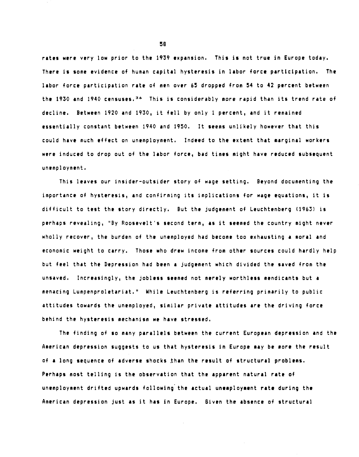rates were very low prior to the 1939 expansion. This is not true in Europe today. There is some evidence of human capital hysteresis in labor force participation. The labor force participation rate of men over 65 dropped from 54 to 42 percent between the 1930 and 1940 censuses.<sup>36</sup> This is considerably more rapid than its trend rate of decline. Between 1920 and 1930, it fell by only 1 percent, and it remained essentially constant between 1940 and 1950. It seems unlikely however that this could have much effect on unemployment. Indeed to the extent that marginal workers were induced to drop out of the labor force, bad times might have reduced subsequent unemployment.

This leaves our insider—outsider story of wage setting. Beyond documenting the importance of hysteresis, and confirming its implications for wage equations, it is difficult to test the story directly. But the judgement of Leuchtenberg (1963) is perhaps revealing, "By Roosevelt's second term, as it seemed the country might never wholly recover, the burden of the unemployed had become too exhausting a moral and economic weight to carry. Those who drew income from other sources could hardly help but feel that the Depression had been a judgement which divided the saved from the unsaved. Increasingly, the jobless seemed not merely worthless mendicants but a menacing Lumpenproletariat." While Leuchtenberg is referring primarily to public attitudes towards the unemployed, similar private attitudes are the driving force behind the hysteresis mechanism we have stressed.

The finding of so many parallels between the current European depression and the American depression suggests to us that hysteresis in Europe may be more the result of a long sequence of adverse shocks than the result of structural problems. Perhaps most telling is the observation that the apparent natural rate of unemployment drifted upwards following the actual unemployment rate during the American depression just as it has in Europe. Biven the absence of structural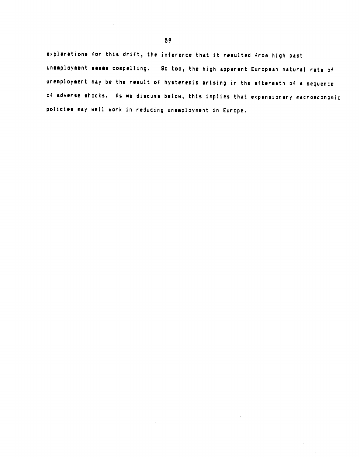explanations 4or this drift, the inference that it resulted from high past unemployment seems compelling. So too, the high apparent European natural rate of unemployment may be the result of hysteresis arising in the aftermath of a sequence of adverse shocks. As we discuss below, this implies that expansionary macroeconomic policies may well work in reducing unemployment in Europe.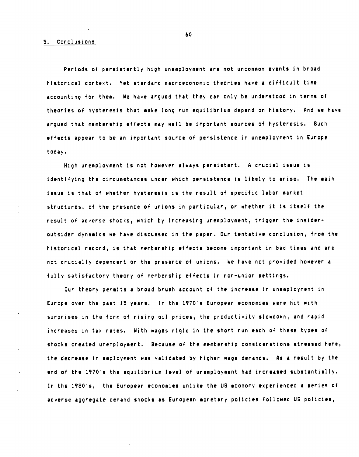## 5. Conclusions

Periods of persistently high unemployment are not uncommon events in broad historical context. Yet standard macroeconomic theories have a difficult time accounting 4cr them. We have argued that they can only be understood in terms of theories of hysteresis that make long run equilibrium depend on history. And we have argued that membership effects may well be important sources of hysteresis. Such effects appear to be an important source of persistence in unemployment in Europe today.

Nigh unemployment is not however always persistent. A crucial issue is identifying the circumstances under which persistence is likely to arise. The main issue is that of whether hysteresis is the result of specific labor market structures, of the presence of unions in particular, or whether It is itself the result of adverse shocks, which by increasing unemployment, trigger the insider outsider dynamics we have discussed in the paper. Our tentative conclusion, from the historical record, is that membership effects become important in bad times and are not crucially dependent on the presence of unions. We have not provided however a fully satisfactory theory of membership effects in non—union settings.

Our theory permits a broad brush account of the increase In unemployment In Europe over the past 15 years. In the 1970's European economies were hit with surprises in the form of rising oil prices, the productivity slowdown, and rapid increases in tax rates. With wages rigid in the short run each of these types of shocks created unemployment. Because of the membership considerations stressed here, the decrease in employment was validated by higher wage demands. As a result by the end of the 1970's the equilibrium level of unemployment had increased substantially. In the 1980's, the European economies unlike the US economy experienced a series of adverse aggregate demand shocks as European monetary policies followed US policies,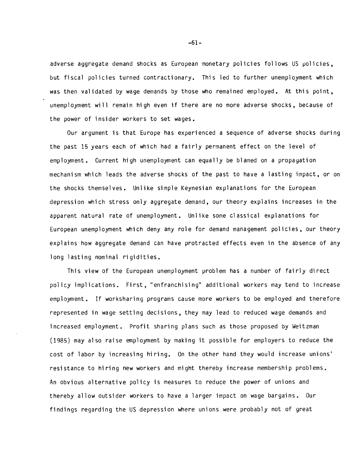adverse aggregate demand shocks as European monetary policies follows US policies, but fiscal policies turned contractionary. This led to further unemployment which was then validated by wage demands by those who remained employed. At this point, unemployment will remain high even if there are no more adverse shocks, because of the power of insider workers to set wages.

Our argument is that Europe has experienced a sequence of adverse shocks during the past 15 years each of which had a fairly permanent effect on the level of employment. Current high unemployment can equally be blamed on a propagation mechanism which leads the adverse shocks of the past to have a lasting impact, or on the shocks themselves. Unlike simple Keynesian explanations for the European depression which stress only aggregate demand, our theory explains increases in the apparent natural rate of unemployment. Unlike some classical explanations for European unemployment which deny any role for demand management policies, our theory explains how aggregate demand can have protracted effects even in the absence of any long lasting nominal rigidities.

This view of the European unemployment problem has a number of fairly direct policy implications. First, "enfranchising" additional workers may tend to increase employment. If worksharing programs cause more workers to be employed and therefore represented in wage setting decisions, they may lead to reduced wage demands and increased employment. Profit sharing plans such as those proposed by Weitzman (1985) may also raise employment by making it possible for employers to reduce the cost of labor by increasing hiring. On the other hand they would increase unions' resistance to hiring new workers and might thereby increase membership problems. An obvious alternative policy is measures to reduce the power of unions and thereby allow outsider workers to have a larger impact on wage bargains. Our findings regarding the US depression where unions were probably not of great

 $-61-$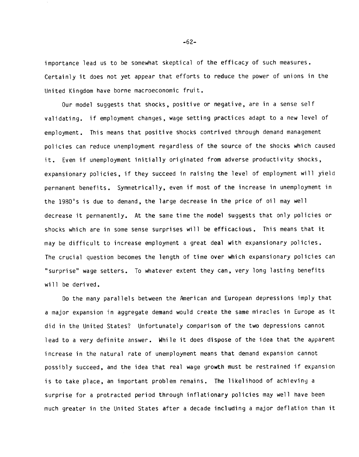importance lead us to be somewhat skeptical of the efficacy of such measures. Certainly it does not yet appear that efforts to reduce the power of unions in the United Kingdom have borne macroeconomic fruit.

Our model suggests that shocks, positive or negative, are in a sense self validating, if employment changes, wage setting practices adapt to a new level of employment. This means that positive shocks contrived through demand management policies can reduce unemployment regardless of the source of the shocks which caused it. Even if unemployment initially originated from adverse productivity shocks, expansionary policies, if they succeed in raising the level of employment will yield permanent benefits. Symmetrically, even if most of the increase in unemployment in the 1980's is due to demand, the large decrease in the price of oil may well decrease it permanently. At the same time the model suggests that only policies or shocks which are in some sense surprises will be efficacious. This means that it may be difficult to increase employment a great deal with expansionary policies. The crucial question becomes the length of time over which expansionary policies can "surprise" wage setters. To whatever extent they can, very long lasting benefits will be derived.

Do the many parallels between the American and European depressions imply that a major expansion in aggregate demand would create the same miracles in Europe as it did in the United States? Unfortunately comparison of the two depressions cannot lead to a very definite answer. While it does dispose of the idea that the apparent increase in the natural rate of unemployment means that demand expansion cannot possibly succeed, and the idea that real wage growth must be restrained if expansion is to take place, an important problem remains. The likelihood of achieving a surprise for a protracted period through inflationary policies may well have been much greater in the United States after a decade including a major deflation than it

—62—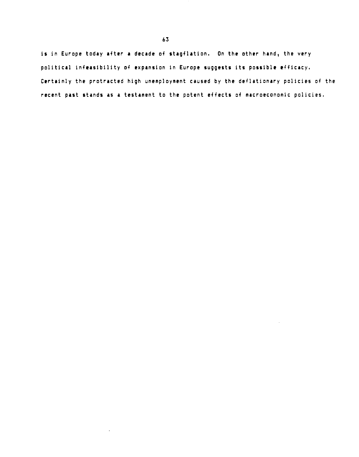is in Europe today after a decade of stagflation. On the other hand, the very political infeasibility of expansion in Europe suggests its possible efficacy. Certainly the protracted high unemployment caused by the deflationary policies of the recent past stands as a testament to the potent effects of macroeconomic policies.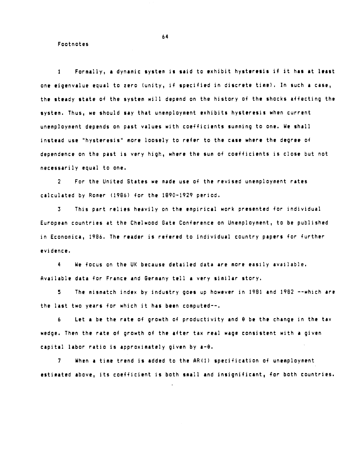### Footnotes

<sup>1</sup> Formally, a dynamic system is said to exhibit hysteresis 14 it has at least one eigenvalue equal to zero (unity, if specified in discrete time). In such a case, the steady state of the system will depend on the history of the shocks affecting the system. Thus, we should say that unemployment exhibits hysteresis when current unemployment depends on past values with coefficients summing to one. We shall instead use "hysteresis" more loosely to refer to the case where the degree of dependence on the past is very high, where the sum of coefficients is close but not necessarily equal to one.

2 For the United States we made use of the revised unemployment rates calculated by Romer (1986) for the 1890—1929 period.

 $\overline{3}$ This part relies heavily on the empirical work presented for individual European countries at the Chelwood Bate Conference on Unemployment, to be published in Economica, 1986. The reader is refered to individual country papers for further cvi dence.

4 We focus on the UK because detailed data are more easily available. Available data for France and Germany tell a very similar story.

5 The mismatch index by industry goes up however in 19B1 and 1982 ——which are the last two years for which it has been computed--.

6 Let a be the rate of growth of productivity and 6 be the change in the tax wedge. Then the rate of growth of the after tax real wage consistent with a given capital labor ratio Is approximately given by a—6.

7 When a time trend is added to the AR(1) specification of unemployment estimated above, its coefficient is both small and insignificant, for both countries.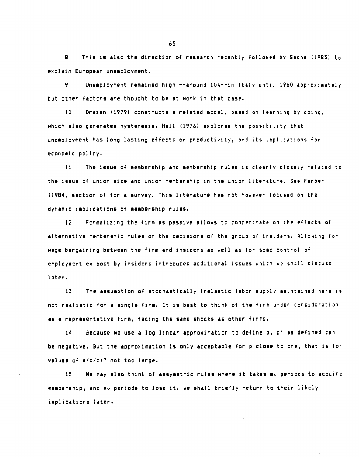B This is also the direction of research recently followed by Sachs (1985) to explain European unemployment.

9 Unemployment remained high ——around lOX——in Italy until 1960 approximately but other factors are thought to be at work in that case.

10 Drazen (1979) constructs a related model, based on learning by doing, which also generates hysteresis. HaIl (1976) explores the possibility that unemployment has long lasting effects on productivity, and its implications for economic policy.

11 The issue of membership and membership rules is clearly closely related to the issue of union size and union membership in the union literature. See Farber (19B4, section 6) for a survey. This literature has not however focused on the dynamic implications of membership rules.

12 Formalizing the firm as passive allows to concentrate on the effects of alternative membership rules on the decisions of the group of insiders. Allowing for wage bargaining between the firm and insiders as well as for some control of employment ex post by insiders introduces additional issues which we shall discuss later.

13 The assumption of stochastically inelastic labor supply maintained here is not realistic for a single firm. it is best to think of the firm under consideration as a representative firm, facing the same shocks as other firms.

14 Because we use a log linear approximation to define  $p$ ,  $p^*$  as defined can be negative. But the approximation is only acceptable for p close to one, that is for values of  $a(b/c)^2$  not too large.

15 We may also think of assymetric rules where it takes mi periods to acquire membership, and m2 periods to lose it. We shall briefly return to their likely implications later.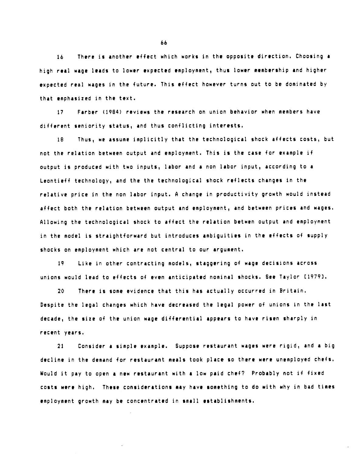16 There is another effect which works in the opposite direction. Choosing a high real wage leads to lower expected employment, thus lower membership and higher expected real wages in the future. This effect however turns out to be dominated by that emphasized in the text.

17 Farber (1984) reviews the research on union behavior when members have different seniority status, and thus conflicting interests.

18 Thus, we assume implicitly that the technological shock affects costs, but not the relation between output and employment. This is the case for example if output is produced with two inputs, labor and a non labor input, according to a Leontieff technology, and the the technological shock reflects changes in the relative price in the non labor input. A change in productivity growth would instead affect both the relation between output and employment, and between prices and wages. Allowing the technological shack to affect the relation betwen output and employment in the model is straightforward but introduces ambiguities in the effects of supply shocks on employment which are not central to our argument.

19 Like in other contracting models, staggering of wage decisions across unions would lead to effects of even anticipated nominal shocks. See Taylor [1979].

<sup>20</sup> There is some evidence that this has actually occurred in Britain. Despite the legal changes which have decreased the legal power of unions in the last decade, the size of the union wage differential appears to have risen sharply in recent years.

21 Consider a simple example. Suppose restaurant wages were rigid, and a big decline in the demand for restaurant meals took place so there were unemployed chefs. Would it pay to open a new restaurant with a low paid chef? Probably not if fixed costs were high. These considerations may have something to do with why in bad times employment growth may be concentrated in small establishments.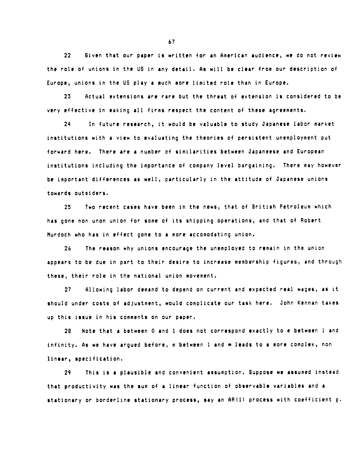22 Given that our paper is written for an American audience, we do not review the role of unions in the US in any detail. As will be clear from our description of Europe, unions in the US play a much more limited role than in Europe.

23 Actual extensions are rare but the threat of extension is considered to be very effective in making all firms respect the content of these agreements.

24 In future research, it would be valuable to study japanese labor market institutions with a view to evaluating the theories of persistent unemployment put forward here. There are a number of similarities between 3apaneese and European institutions including the importance of company level bargaining. There may however be important differences as well, particularly in the attitude of 3apanese unions towards outsiders.

25 Two recent cases have been in the news, that of British Petroleum which has gone non unon union for some of its shipping operations, and that of Robert Murdoch who has in effect gone to a more accomodating union.

26 The reason why unions encourage the unemployed to remain in the union appears to be due in part to their desire to increase membership figures, and through these, their role in the national union movement.

27 Allowing labor demand to depend on current and expected real wages, as it should under costs of adjustment, would complicate our task here. 3ohn Kennan takes up this issue in his comments on our paper.

28 Note that a between 0 and 1 does not correspond exactly to a between 1 and infinity. As we have argued before, m between 1 and  $\infty$  leads to a more complex, non linear, specification.

29 This is a plausible and convenient assumption. Suppose we assumed instead that productivity was the sum of a linear function of observable variables and a stationary or borderline stationary process, say an AR(1) process with coefficient p.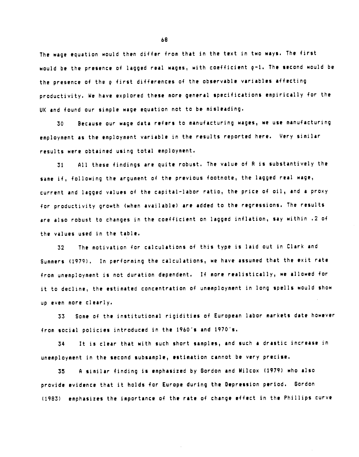The wage equation would then differ from that in the text in two ways. The first would be the presence of lagged real wages, with coefficient  $\rho -1$ . The second would be the presence of the  $\rho$  first differences of the observable variables affecting productivity. We have explored these more general specifications empirically for the UK and found our simple wage equation not to be misleading.

30 Because our wage data refers to manufacturing wages, we use manufacturing employment as the employment variable in the results reported here. Very similar results were obtained using total employment.

31 All these findings are quite robust. The value of R is substantively the same if, following the argument of the previous footnote, the lagged real wage, current and lagged values of the capital—labor ratio, the price of oil, and a proxy for productivity growth (when available) are added to the regressions. The results are also robust to changes in the coefficient on lagged inflation, say within .2 of the values used in the table.

32 The motivation for calculations of this type is laid out in Clark and Summers (1979). In performing the calculations, we have assumed that the exit rate from unemployment is not duration dependent. If more realistically, we allowed for it to decline, the estimated concentration of unemployment in long spells would show up even more clearly.

33 Some of the institutional rigidities of European labor markets date however from social policies introduced in the 1960's and 1970's.

34 It is clear that with such short samples, and such a drastic increase in unemployment in the second subsample, estimation cannot be very precise.

35 A similar finding is emphasized by Gordon and Wilcox (1979) who also provide evidence that it holds for Europe during the Depression period. Gordon (1983) emphasizes the importance of the rate of change effect In the Phillips curve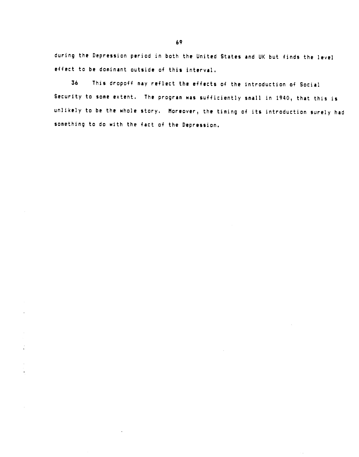during the Depression period in both the United States and UK but finds the level effect to be dominant outside of this interval.

36 This dropoff may reflect the effects of the introduction of Social Security to some extent. The program was sufficiently small in 1940, that this is unlikely to be the whole story. Moreover, the timing of its introduction surely had something to do with the fact of the Depression.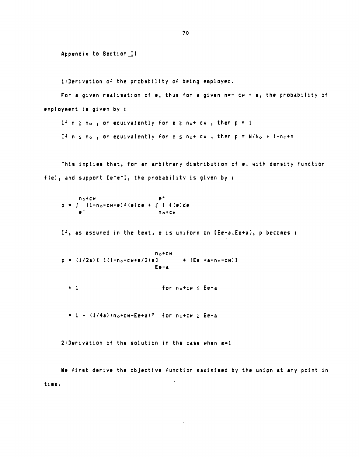Appendix to Section II

1)Derivation of the probability of being employed.

For a given realisation of e, thus for a given  $n = -c$ w + e, the probability of employment is given by

If  $n \ge n_0$ , or equivalently for e  $\ge n_0$ + cw, then  $p = 1$ If  $n \le n_0$ , or equivalently for e  $\le n_0$  + cw, then  $p = N/N_0 \div 1 - n_0 + n$ 

This implies that, for an arbitrary distribution of e, with density function  $f(e)$ , and support [e<sup>-e+</sup>], the probability is given by  $f$ 

flo+CW e  $p = f$  (1-no-cw+e)f(e)de +  $f$  1 f(e)de  $\bullet$   $$ no+cw If, as assumed in the text, e is uniform on  $[EE-a,EE+a]$ , p becomes : flo+CW  $p = (1/2a)$ ( [(1-no-cw+e/2)e] + (Ee +a-no-cw)) Ee—a  $= 1$ for  $n_0$ +cw  $\leq$  Ee-a  $= 1 - (1/4a) (\ln_0 + c w - Ee + a)^2$  for  $n_0 + c w \ge Ee - a$ 

2)Derivation of the solution in the case when m=1

We first derive the objective function maximised by the union at any point in time.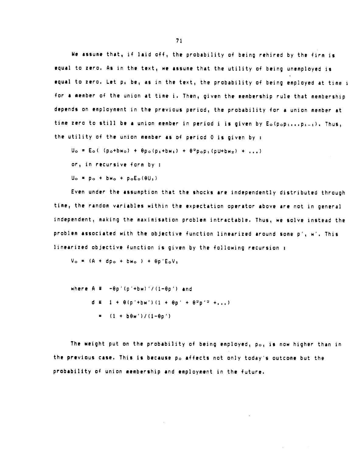We assume that, if laid off, the probability of being rehired by the firm is equal to zero. As in the text, we assume that the utility of being unemployed is equal to zero. Let  $p_4$  be, as in the text, the probability of being employed at time i for a member of the union at time i. Then, given the membership rule that membership depends on employment in the previous period, the probability for a union member at time zero to still be a union member in period i is given by  $E_{\circ}(p_{\circ}p_{1}...p_{1-1})$ . Thus, the utility of the union member as of period  $0$  is given by  $\boldsymbol{i}$ 

 $U_0 = E_0$ ( (po+bwo) +  $\theta p_0(p_1+bw_1) + \theta^2 p_0 p_1 (pU+bw_2) + ...$ 

or, in recursive form by

 $U_0 = p_0 + bw_0 + p_0E_0(\theta U_1)$ 

Even under the assumption that the shocks are independently distributed through time, the random variables within the expectation operator above are not in general independent, making the maximisation problem intractable. Thus, we solve instead the problem associated with the objective function linearized around some  $p'$ , w', This linearized objective function is given by the following recursion i

 $V_0 = (A + dp_0 + bw_0) + \theta p'E_0V_1$ 

where  $A \equiv -\theta p' (p' + bw)' / (1-\theta p')$  and d  $\mathbf{E}$  1 +  $\theta(p'+bw')$  (1 +  $\theta p'$  +  $\theta^2 p'^2$  +,,,)  $=$   $(1 + b\theta w')/(1-\theta v')$ 

The weight put on the probability of being employed,  $p_{\circ}$ , is now higher than in the previous case. This is because pa affects not only today's outcome but the probability of union membership and employment in the future.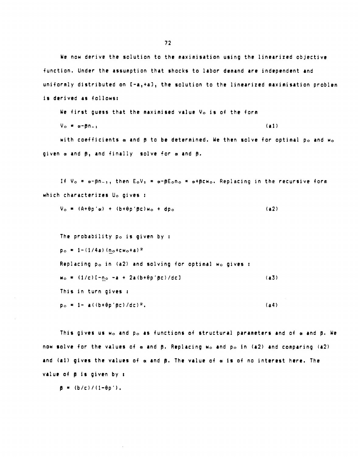We now derive the solution to the maximisation using the linearized objective function. Under the assumption that shocks to labor demand are independent and uniformly distributed on (—a,+aD, the solution to the linearized maximisation problem is derived as follows:

We first guess that the maximised value  $V<sub>o</sub>$  is of the form

 $x = \alpha - \beta n - i$  (al)

with coefficients  $\alpha$  and  $\beta$  to be determined. We then solve for optimal po and wo given  $\alpha$  and  $\beta$ , and finally solve for  $\alpha$  and  $\beta$ .

If  $V_{\circ} = \alpha - \beta n_{-1}$ , then  $E_{\circ}V_1 = \alpha - \beta E_{\circ}n_{\circ} = \alpha + \beta C w_{\circ}$ . Replacing in the recursive form which characterizes Uo gives

 $V_{\odot}$  =  $(A+\theta p^{\prime} \alpha)$  +  $(b+\theta p^{\prime} \beta c)w_{\odot}$  + dp<sub>o</sub> (a2)

The probability  $p_0$  is given by :  $p_0 = 1 - (1/4a) (n_0 + c w_0 + a)^2$ Replacing  $p_{\odot}$  in (a2) and solving for optimal wo gives :  $W_0 = (1/c)\,[-\rho_0 - a + 2a(b+\theta p' \beta c)/dc]$  (a3) This in turn gives :  $p_{\circ} = 1 - a((b + \theta p^{2} + b^{2})/d c)^{2}$ . (a4)

This gives us wo and  $p_{\circ}$  as functions of structural parameters and of  $\alpha$  and  $\beta$ . We now solve for the values of  $\alpha$  and  $\beta$ . Replacing wo and  $p_0$  in (a2) and comparing (a2) and (al) gives the values of  $\alpha$  and  $\beta$ . The value of  $\alpha$  is of no interest here. The value of  $\beta$  is given by :

 $\beta$  = (b/c)/(1- $\theta$ p').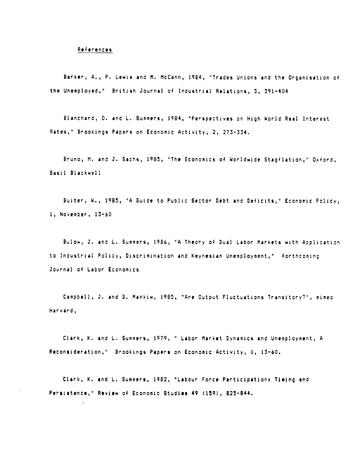#### References

Barker, A., P. Lewis and M. McCann, 1984, "Trades Unions and the Organisation of the Unemployed," British Journal of Industrial Relations, 3, 391—404

Blanchard, 0. and L. Summers, 1984, "Perspectives on High World Real Interest Rates," Brookings Papers on Economic Activity, 2, 273—334.

Bruno, P1. and J. Sachs, 1985, 'The Economics of Worldwide Stagflation,' Oxford, Basil Blackwell

Buiter, W. , 1985, "A Guide to Public Sector Debt and Deficits," Economic Policy, 1, November, 13—60

Bulow, 3. and L. Summers, 1986, "A Theory of Dual Labor Markets with Application to Industrial Policy, Discrimination and Keynesian Unemployment," forthcomina Journal of Labor Economics

Campbell, 3. and 8. Mankiw, 1985, "Are Output Fluctuations Transitory'", mimeo Harvard,

Clark, K. and L. Summers, 1979, " Labor Market Dynamics and Unemployment, A Reconsideration," Brookings Papers on Economic Activity, 1, 13—60.

Clark, K. and L. Summers, 1982, "Labour Force Participation: Timing and Persistence," Review of Economic Studies 49 (159), 825—844.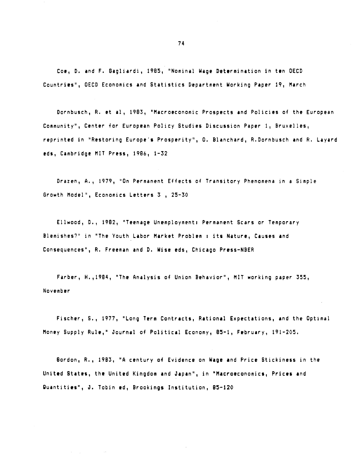Ccc, D. and F. Gagliardi, 1985, "Nominal Wage Determination in ten OECD Countries", OECD Economics and Statistics Department Working Paper 19, March

Dornbusch, R. et al, 1983, "Macroeconomic Prospects and Policies of the European Community", Center for European Policy Studies Discussion Paper 1, Bruxelles, reprinted in 'Restoring Europe's Prosperity", 0. Blanchard, R.Dornbusch and R, Layard eds, Cambridge MIT Press, 1986, 1—32

Drazen, A., 1979, "On Permanent Effects of Transitory Phenomena in a Simple Growth Model", Economics Letters 3 , 25—30

Ellwood, D., 1982, "Teenage Unemploymenti Permanent Scars or Temporary Blemishes'" in "The Youth Labor Market Problem i its Nature, Causes and Consequences", R. Freeman and D. Wise eds, Chicago Press—NBER

Farber, H.,1984, The Analysis of Union Behavior", MIT working paper 355, November

Fischer, S., 1977, 'Long Term Contracts, Rational Expectations, and the Optimal Money Supply Rule," Journal of Political Economy, 85—1, February, 191-205.

Gordon, R. , 1983, "A century of Evidence on Wage and Price Stickiness in the United States, the United Kingdom and Japan", in "Macroeconomics, Prices and Quantities", J. Tobin ed, Brookings Institution, 85—120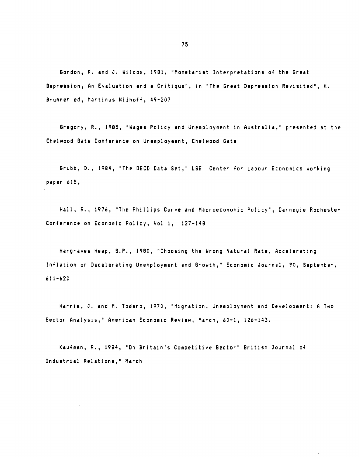Gordon, R. and J. Wilcox, 1981, "Monetarist Interpretations of the Great Depression, An Evaluation and a Critique", in "The Great Depression Revisited", K. Brunner ed, Martinus Nijhoff, 49-207

Gregory, R., 1985, "Wages Policy and Unemployment in Australia," presented at the Cheiwood Gate Conference on Unemployment, Cheiwood Gate

Grubb, D., 1984, "The OECD Data Set," LSE Center 4or Labour Economics working paper 615,

Hall, R., 1976, "The Phillips Curve and Macroeconomic Policy", Carnegie Rochester Con4erence an Economic Policy, Vol 1, 127—148

Hargraves Heap, S.P., 1980, "Choosing the Wrong Natural Rate, Accelerating Inflation or Decelerating Unemployment and Growth," Economic Journal, 90, September, 611—620

Harris, 3. and M. Todaro, 1970, "Migration, Unemployment and Development: A Two Sector Analysis," American Economic Review, March, 60—1, 126—143.

Kaufman, R., 1984, "Dn Britain's Competitive Sector" British Journal of Industrial Relations," March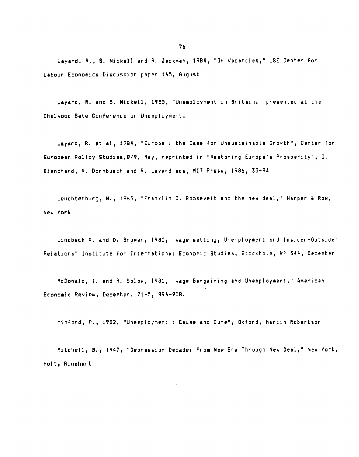Layard, R., S. Nickell and R. 3ackman, 1984, "On Vacancies," LSE Center for Labour Economics Discussion paper 165, August

Layard, R. and S. Nickell, 19B, "Unemployment in Britain," presented at the Chelwood Gate Conference on Unemployment,

Layard, R. et al, 1984, "Europe : the Case for Unsustainable Growth", Center for European Policy Studies,8/9, May, reprinted in "Restoring Europe's Prosperity", 0. Blanchard, R. Dornbusch and R. Layard eds, MIT Press, 1986, 33—94

Leuchtenburg, W., 1963, "Franklin D. Roosevelt and the new deal," Harper & Row, New York

Lindbeck A. and 0. Snower, 1985, "Wage setting, Unemployment and Insider—Outsider Relations" Institute for International Economic Studies, Stockholm, WP 344, December

McDonald, I. and R. Solow, 1981, "Wage Bargaining and Unemployment," American Economic Review, December, 71—5, 896—908.

Minford, P., 1982, "Unemployment : Cause and Cure", Oxford, Martin Robertson

Mitchell, 8., 1947, "Depression Decade: From New Era Through New Deal ," New York, Halt, Rinehart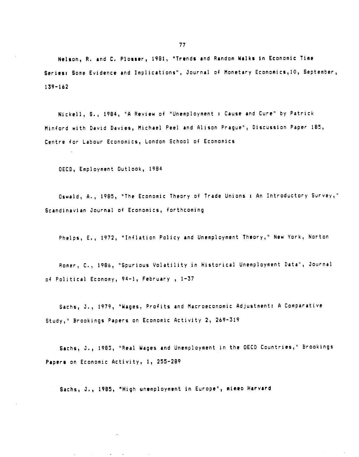Nelson, R. and C. Plosser, 1981, "Trends and Random Walks in Economic Time Series: Some Evidence and Implications", Journal of Monetary Economics, 10, September, 139—162

Nickell , 5., 1984, "A Review of "Unemployment : Cause and Cure" by Patrick Minford with David Davies, Michael Peel and Alison Prague", Discussion Paper 185, Centre for Labour Economics, London School of Economics

OECD, Employment Outlook, 1984

Oswald, A., 1985, "The Economic Theory of Trade Unions i An Introductory Survey,' Scandinavian Journal of Economics, forthcoming

Phelps, E., 1972, "Inflation Policy and Unemployment Theory," New York, Norton

Romer, C., 1986, "Spurious Volatility in Historical Unemployment Data", Journal of Political Economy, 94—1, February , 1—37

Sachs, 3., 1979, "Wages, Profits and Macroeconomic Adjustment: A Comparative Study," Brookings Papers on Economic Activity 2, 269—319

Sachs, 3,, 1983, "Real Wages and Unemployment in the DECD Countries," Brookings Papers on Economic Activity, 1, 255—289

Sachs, 3., 1985, High unemployment In Europe", mimeo Harvard